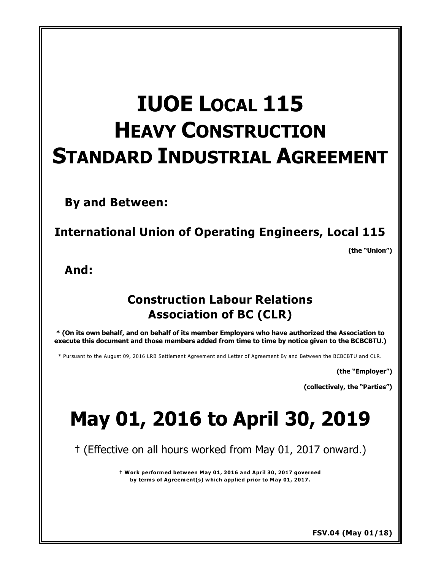# **IUOE LOCAL 115 HEAVY CONSTRUCTION STANDARD INDUSTRIAL AGREEMENT**

**By and Between:**

**International Union of Operating Engineers, Local 115**

**(the "Union")** 

**And:**

## **Construction Labour Relations Association of BC (CLR)**

**\* (On its own behalf, and on behalf of its member Employers who have authorized the Association to execute this document and those members added from time to time by notice given to the BCBCBTU.)**

\* Pursuant to the August 09, 2016 LRB Settlement Agreement and Letter of Agreement By and Between the BCBCBTU and CLR.

**(the "Employer")** 

**(collectively, the "Parties")** 

# **May 01, 2016 to April 30, 2019**

† (Effective on all hours worked from May 01, 2017 onward.)

**† Work performed between May 01, 2016 and April 30, 2017 governed by terms of Agreement(s) which applied prior to May 01, 2017.**

**FSV.04 (May 01/18)**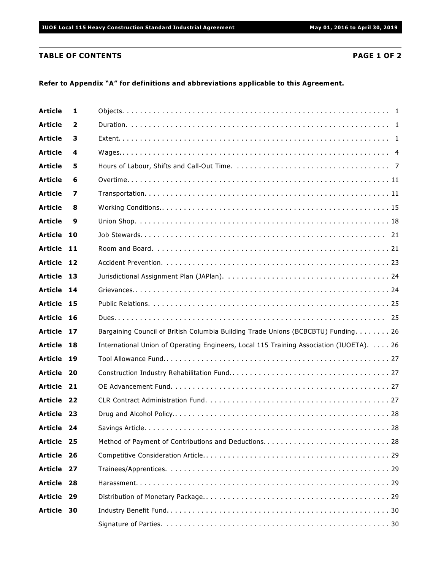### **TABLE OF CONTENTS PAGE 1 OF 2**

### **Refer to Appendix "A" for definitions and abbreviations applicable to this Agreement.**

| <b>Article</b> | 1    |                                                                                         |
|----------------|------|-----------------------------------------------------------------------------------------|
| <b>Article</b> | 2    |                                                                                         |
| <b>Article</b> | 3    |                                                                                         |
| <b>Article</b> | 4    |                                                                                         |
| <b>Article</b> | 5    |                                                                                         |
| <b>Article</b> | 6    |                                                                                         |
| <b>Article</b> | 7    |                                                                                         |
| <b>Article</b> | 8    |                                                                                         |
| <b>Article</b> | 9    |                                                                                         |
| <b>Article</b> | 10   |                                                                                         |
| <b>Article</b> | - 11 |                                                                                         |
| Article 12     |      |                                                                                         |
| Article 13     |      |                                                                                         |
| Article 14     |      |                                                                                         |
| Article 15     |      |                                                                                         |
| <b>Article</b> | - 16 |                                                                                         |
| Article 17     |      | Bargaining Council of British Columbia Building Trade Unions (BCBCBTU) Funding. 26      |
| <b>Article</b> | 18   | International Union of Operating Engineers, Local 115 Training Association (IUOETA). 26 |
| <b>Article</b> | - 19 |                                                                                         |
| Article 20     |      |                                                                                         |
| Article 21     |      |                                                                                         |
| <b>Article</b> | - 22 |                                                                                         |
| Article 23     |      |                                                                                         |
| Article 24     |      | . 28                                                                                    |
| Article 25     |      |                                                                                         |
| <b>Article</b> | - 26 |                                                                                         |
| Article 27     |      |                                                                                         |
| Article 28     |      |                                                                                         |
| <b>Article</b> | -29  |                                                                                         |
| <b>Article</b> | 30   |                                                                                         |
|                |      |                                                                                         |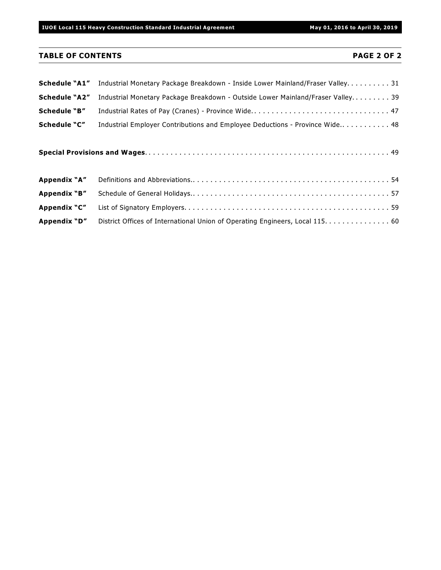**IUOE Local 115 Heavy Construction Standard Industrial Agreement May 01, 2016 to April 30, 2019**

### **TABLE OF CONTENTS PAGE 2 OF 2**

| <b>Schedule "A1"</b> | Industrial Monetary Package Breakdown - Inside Lower Mainland/Fraser Valley31  |
|----------------------|--------------------------------------------------------------------------------|
| <b>Schedule "A2"</b> | Industrial Monetary Package Breakdown - Outside Lower Mainland/Fraser Valley39 |
| Schedule "B"         | Industrial Rates of Pay (Cranes) - Province Wide 47                            |
| Schedule "C"         | Industrial Employer Contributions and Employee Deductions - Province Wide 48   |
|                      |                                                                                |
| Appendix "A"         |                                                                                |
| Appendix "B"         |                                                                                |
| Appendix "C"         |                                                                                |
| Appendix "D"         | District Offices of International Union of Operating Engineers, Local 115. 60  |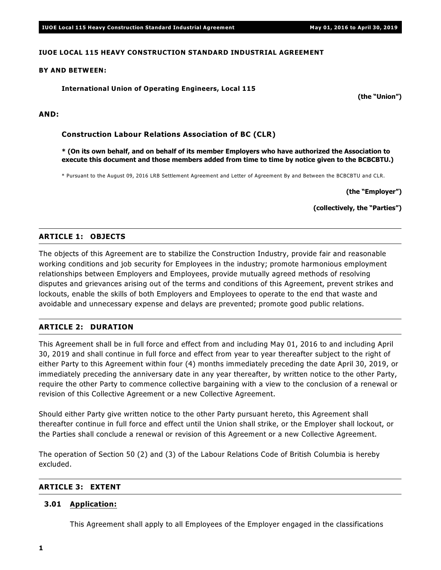### **IUOE LOCAL 115 HEAVY CONSTRUCTION STANDARD INDUSTRIAL AGREEMENT**

### **BY AND BETWEEN:**

### **International Union of Operating Engineers, Local 115**

**AND:**

**Construction Labour Relations Association of BC (CLR)**

**\* (On its own behalf, and on behalf of its member Employers who have authorized the Association to execute this document and those members added from time to time by notice given to the BCBCBTU.)**

\* Pursuant to the August 09, 2016 LRB Settlement Agreement and Letter of Agreement By and Between the BCBCBTU and CLR.

**(the "Employer")**

**(the "Union")**

**(collectively, the "Parties")**

### **ARTICLE 1: OBJECTS**

The objects of this Agreement are to stabilize the Construction Industry, provide fair and reasonable working conditions and job security for Employees in the industry; promote harmonious employment relationships between Employers and Employees, provide mutually agreed methods of resolving disputes and grievances arising out of the terms and conditions of this Agreement, prevent strikes and lockouts, enable the skills of both Employers and Employees to operate to the end that waste and avoidable and unnecessary expense and delays are prevented; promote good public relations.

### **ARTICLE 2: DURATION**

This Agreement shall be in full force and effect from and including May 01, 2016 to and including April 30, 2019 and shall continue in full force and effect from year to year thereafter subject to the right of either Party to this Agreement within four (4) months immediately preceding the date April 30, 2019, or immediately preceding the anniversary date in any year thereafter, by written notice to the other Party, require the other Party to commence collective bargaining with a view to the conclusion of a renewal or revision of this Collective Agreement or a new Collective Agreement.

Should either Party give written notice to the other Party pursuant hereto, this Agreement shall thereafter continue in full force and effect until the Union shall strike, or the Employer shall lockout, or the Parties shall conclude a renewal or revision of this Agreement or a new Collective Agreement.

The operation of Section 50 (2) and (3) of the *Labour Relations Code* of British Columbia is hereby excluded.

### **ARTICLE 3: EXTENT**

### **3.01 Application:**

This Agreement shall apply to all Employees of the Employer engaged in the classifications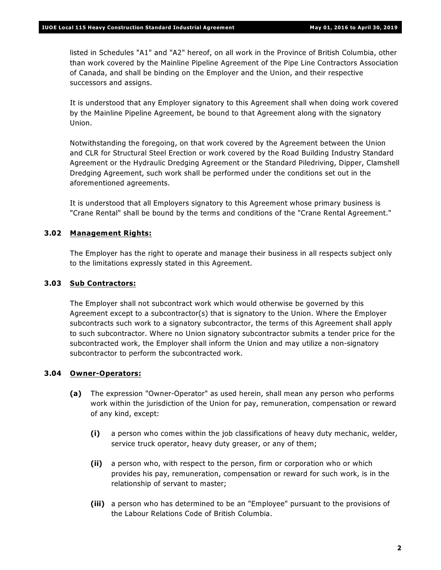listed in Schedules "A1" and "A2" hereof, on all work in the Province of British Columbia, other than work covered by the Mainline Pipeline Agreement of the Pipe Line Contractors Association of Canada, and shall be binding on the Employer and the Union, and their respective successors and assigns.

It is understood that any Employer signatory to this Agreement shall when doing work covered by the Mainline Pipeline Agreement, be bound to that Agreement along with the signatory Union.

Notwithstanding the foregoing, on that work covered by the Agreement between the Union and CLR for Structural Steel Erection or work covered by the Road Building Industry Standard Agreement or the Hydraulic Dredging Agreement or the Standard Piledriving, Dipper, Clamshell Dredging Agreement, such work shall be performed under the conditions set out in the aforementioned agreements.

It is understood that all Employers signatory to this Agreement whose primary business is "Crane Rental" shall be bound by the terms and conditions of the "Crane Rental Agreement."

### **3.02 Management Rights:**

The Employer has the right to operate and manage their business in all respects subject only to the limitations expressly stated in this Agreement.

### **3.03 Sub Contractors:**

The Employer shall not subcontract work which would otherwise be governed by this Agreement except to a subcontractor(s) that is signatory to the Union. Where the Employer subcontracts such work to a signatory subcontractor, the terms of this Agreement shall apply to such subcontractor. Where no Union signatory subcontractor submits a tender price for the subcontracted work, the Employer shall inform the Union and may utilize a non-signatory subcontractor to perform the subcontracted work.

### **3.04 Owner-Operators:**

- **(a)** The expression "Owner-Operator" as used herein, shall mean any person who performs work within the jurisdiction of the Union for pay, remuneration, compensation or reward of any kind, except:
	- **(i)** a person who comes within the job classifications of heavy duty mechanic, welder, service truck operator, heavy duty greaser, or any of them;
	- **(ii)** a person who, with respect to the person, firm or corporation who or which provides his pay, remuneration, compensation or reward for such work, is in the relationship of servant to master;
	- **(iii)** a person who has determined to be an "Employee" pursuant to the provisions of the *Labour Relations Code* of British Columbia.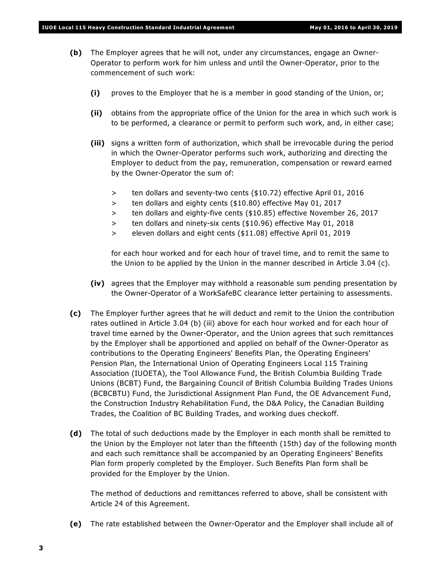- **(b)** The Employer agrees that he will not, under any circumstances, engage an Owner-Operator to perform work for him unless and until the Owner-Operator, prior to the commencement of such work:
	- **(i)** proves to the Employer that he is a member in good standing of the Union, or;
	- **(ii)** obtains from the appropriate office of the Union for the area in which such work is to be performed, a clearance or permit to perform such work, and, in either case;
	- **(iii)** signs a written form of authorization, which shall be irrevocable during the period in which the Owner-Operator performs such work, authorizing and directing the Employer to deduct from the pay, remuneration, compensation or reward earned by the Owner-Operator the sum of:
		- > ten dollars and seventy-two cents (\$10.72) effective April 01, 2016
		- > ten dollars and eighty cents (\$10.80) effective May 01, 2017
		- > ten dollars and eighty-five cents (\$10.85) effective November 26, 2017
		- > ten dollars and ninety-six cents (\$10.96) effective May 01, 2018
		- > eleven dollars and eight cents (\$11.08) effective April 01, 2019

for each hour worked and for each hour of travel time, and to remit the same to the Union to be applied by the Union in the manner described in Article 3.04 (c).

- **(iv)** agrees that the Employer may withhold a reasonable sum pending presentation by the Owner-Operator of a WorkSafeBC clearance letter pertaining to assessments.
- **(c)** The Employer further agrees that he will deduct and remit to the Union the contribution rates outlined in Article 3.04 (b) (iii) above for each hour worked and for each hour of travel time earned by the Owner-Operator, and the Union agrees that such remittances by the Employer shall be apportioned and applied on behalf of the Owner-Operator as contributions to the Operating Engineers' Benefits Plan, the Operating Engineers' Pension Plan, the International Union of Operating Engineers Local 115 Training Association (IUOETA), the Tool Allowance Fund, the British Columbia Building Trade Unions (BCBT) Fund, the Bargaining Council of British Columbia Building Trades Unions (BCBCBTU) Fund, the Jurisdictional Assignment Plan Fund, the OE Advancement Fund, the Construction Industry Rehabilitation Fund, the D&A Policy, the Canadian Building Trades, the Coalition of BC Building Trades, and working dues checkoff.
- **(d)** The total of such deductions made by the Employer in each month shall be remitted to the Union by the Employer not later than the fifteenth (15th) day of the following month and each such remittance shall be accompanied by an Operating Engineers' Benefits Plan form properly completed by the Employer. Such Benefits Plan form shall be provided for the Employer by the Union.

The method of deductions and remittances referred to above, shall be consistent with Article 24 of this Agreement.

**(e)** The rate established between the Owner-Operator and the Employer shall include all of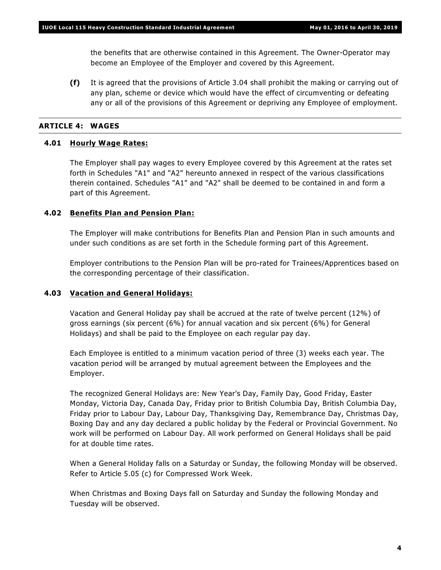the benefits that are otherwise contained in this Agreement. The Owner-Operator may become an Employee of the Employer and covered by this Agreement.

**(f)** It is agreed that the provisions of Article 3.04 shall prohibit the making or carrying out of any plan, scheme or device which would have the effect of circumventing or defeating any or all of the provisions of this Agreement or depriving any Employee of employment.

### **ARTICLE 4: WAGES**

### **4.01 Hourly Wage Rates:**

The Employer shall pay wages to every Employee covered by this Agreement at the rates set forth in Schedules "A1" and "A2" hereunto annexed in respect of the various classifications therein contained. Schedules "A1" and "A2" shall be deemed to be contained in and form a part of this Agreement.

### **4.02 Benefits Plan and Pension Plan:**

The Employer will make contributions for Benefits Plan and Pension Plan in such amounts and under such conditions as are set forth in the Schedule forming part of this Agreement.

Employer contributions to the Pension Plan will be pro-rated for Trainees/Apprentices based on the corresponding percentage of their classification.

### **4.03 Vacation and General Holidays:**

Vacation and General Holiday pay shall be accrued at the rate of twelve percent (12%) of gross earnings (six percent (6%) for annual vacation and six percent (6%) for General Holidays) and shall be paid to the Employee on each regular pay day.

Each Employee is entitled to a minimum vacation period of three (3) weeks each year. The vacation period will be arranged by mutual agreement between the Employees and the Employer.

The recognized General Holidays are: New Year's Day, Family Day, Good Friday, Easter Monday, Victoria Day, Canada Day, Friday prior to British Columbia Day, British Columbia Day, Friday prior to Labour Day, Labour Day, Thanksgiving Day, Remembrance Day, Christmas Day, Boxing Day and any day declared a public holiday by the Federal or Provincial Government. No work will be performed on Labour Day. All work performed on General Holidays shall be paid for at double time rates.

When a General Holiday falls on a Saturday or Sunday, the following Monday will be observed. Refer to Article 5.05 (c) for Compressed Work Week.

When Christmas and Boxing Days fall on Saturday and Sunday the following Monday and Tuesday will be observed.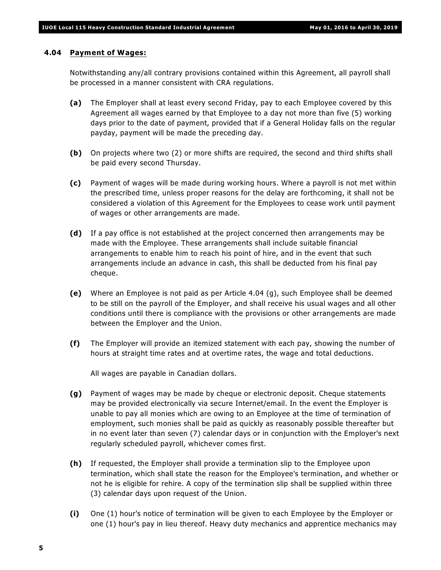### **4.04 Payment of Wages:**

Notwithstanding any/all contrary provisions contained within this Agreement, all payroll shall be processed in a manner consistent with CRA regulations.

- **(a)** The Employer shall at least every second Friday, pay to each Employee covered by this Agreement all wages earned by that Employee to a day not more than five (5) working days prior to the date of payment, provided that if a General Holiday falls on the regular payday, payment will be made the preceding day.
- **(b)** On projects where two (2) or more shifts are required, the second and third shifts shall be paid every second Thursday.
- **(c)** Payment of wages will be made during working hours. Where a payroll is not met within the prescribed time, unless proper reasons for the delay are forthcoming, it shall not be considered a violation of this Agreement for the Employees to cease work until payment of wages or other arrangements are made.
- **(d)** If a pay office is not established at the project concerned then arrangements may be made with the Employee. These arrangements shall include suitable financial arrangements to enable him to reach his point of hire, and in the event that such arrangements include an advance in cash, this shall be deducted from his final pay cheque.
- **(e)** Where an Employee is not paid as per Article 4.04 (g), such Employee shall be deemed to be still on the payroll of the Employer, and shall receive his usual wages and all other conditions until there is compliance with the provisions or other arrangements are made between the Employer and the Union.
- **(f)** The Employer will provide an itemized statement with each pay, showing the number of hours at straight time rates and at overtime rates, the wage and total deductions.

All wages are payable in Canadian dollars.

- **(g)** Payment of wages may be made by cheque or electronic deposit. Cheque statements may be provided electronically via secure Internet/email. In the event the Employer is unable to pay all monies which are owing to an Employee at the time of termination of employment, such monies shall be paid as quickly as reasonably possible thereafter but in no event later than seven (7) calendar days or in conjunction with the Employer's next regularly scheduled payroll, whichever comes first.
- **(h)** If requested, the Employer shall provide a termination slip to the Employee upon termination, which shall state the reason for the Employee's termination, and whether or not he is eligible for rehire. A copy of the termination slip shall be supplied within three (3) calendar days upon request of the Union.
- **(i)** One (1) hour's notice of termination will be given to each Employee by the Employer or one (1) hour's pay in lieu thereof. Heavy duty mechanics and apprentice mechanics may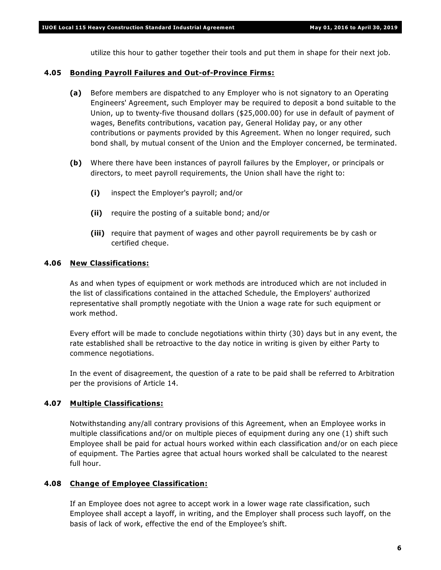utilize this hour to gather together their tools and put them in shape for their next job.

### **4.05 Bonding Payroll Failures and Out-of-Province Firms:**

- **(a)** Before members are dispatched to any Employer who is not signatory to an Operating Engineers' Agreement, such Employer may be required to deposit a bond suitable to the Union, up to twenty-five thousand dollars (\$25,000.00) for use in default of payment of wages, Benefits contributions, vacation pay, General Holiday pay, or any other contributions or payments provided by this Agreement. When no longer required, such bond shall, by mutual consent of the Union and the Employer concerned, be terminated.
- **(b)** Where there have been instances of payroll failures by the Employer, or principals or directors, to meet payroll requirements, the Union shall have the right to:
	- **(i)** inspect the Employer's payroll; and/or
	- **(ii)** require the posting of a suitable bond; and/or
	- **(iii)** require that payment of wages and other payroll requirements be by cash or certified cheque.

### **4.06 New Classifications:**

As and when types of equipment or work methods are introduced which are not included in the list of classifications contained in the attached Schedule, the Employers' authorized representative shall promptly negotiate with the Union a wage rate for such equipment or work method.

Every effort will be made to conclude negotiations within thirty (30) days but in any event, the rate established shall be retroactive to the day notice in writing is given by either Party to commence negotiations.

In the event of disagreement, the question of a rate to be paid shall be referred to Arbitration per the provisions of Article 14.

### **4.07 Multiple Classifications:**

Notwithstanding any/all contrary provisions of this Agreement, when an Employee works in multiple classifications and/or on multiple pieces of equipment during any one (1) shift such Employee shall be paid for actual hours worked within each classification and/or on each piece of equipment. The Parties agree that actual hours worked shall be calculated to the nearest full hour.

### **4.08 Change of Employee Classification:**

If an Employee does not agree to accept work in a lower wage rate classification, such Employee shall accept a layoff, in writing, and the Employer shall process such layoff, on the basis of lack of work, effective the end of the Employee's shift.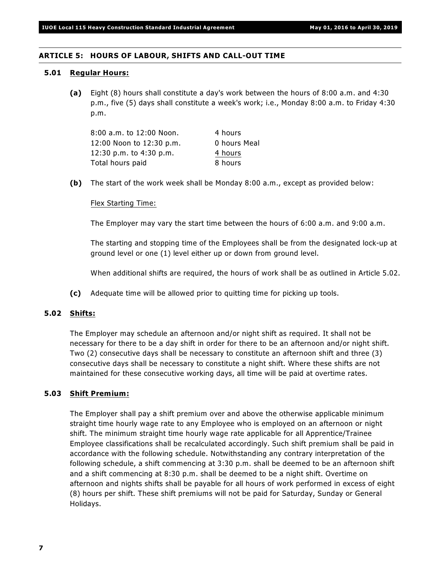### **ARTICLE 5: HOURS OF LABOUR, SHIFTS AND CALL-OUT TIME**

### **5.01 Regular Hours:**

**(a)** Eight (8) hours shall constitute a day's work between the hours of 8:00 a.m. and 4:30 p.m., five (5) days shall constitute a week's work; i.e., Monday 8:00 a.m. to Friday 4:30 p.m.

| 8:00 a.m. to 12:00 Noon. | 4 hours      |
|--------------------------|--------------|
| 12:00 Noon to 12:30 p.m. | 0 hours Meal |
| 12:30 p.m. to 4:30 p.m.  | 4 hours      |
| Total hours paid         | 8 hours      |

**(b)** The start of the work week shall be Monday 8:00 a.m., except as provided below:

### Flex Starting Time:

The Employer may vary the start time between the hours of 6:00 a.m. and 9:00 a.m.

The starting and stopping time of the Employees shall be from the designated lock-up at ground level or one (1) level either up or down from ground level.

When additional shifts are required, the hours of work shall be as outlined in Article 5.02.

**(c)** Adequate time will be allowed prior to quitting time for picking up tools.

### **5.02 Shifts:**

The Employer may schedule an afternoon and/or night shift as required. It shall not be necessary for there to be a day shift in order for there to be an afternoon and/or night shift. Two (2) consecutive days shall be necessary to constitute an afternoon shift and three (3) consecutive days shall be necessary to constitute a night shift. Where these shifts are not maintained for these consecutive working days, all time will be paid at overtime rates.

### **5.03 Shift Premium:**

The Employer shall pay a shift premium over and above the otherwise applicable minimum straight time hourly wage rate to any Employee who is employed on an afternoon or night shift. The minimum straight time hourly wage rate applicable for all Apprentice/Trainee Employee classifications shall be recalculated accordingly. Such shift premium shall be paid in accordance with the following schedule. Notwithstanding any contrary interpretation of the following schedule, a shift commencing at 3:30 p.m. shall be deemed to be an afternoon shift and a shift commencing at 8:30 p.m. shall be deemed to be a night shift. Overtime on afternoon and nights shifts shall be payable for all hours of work performed in excess of eight (8) hours per shift. These shift premiums will not be paid for Saturday, Sunday or General Holidays.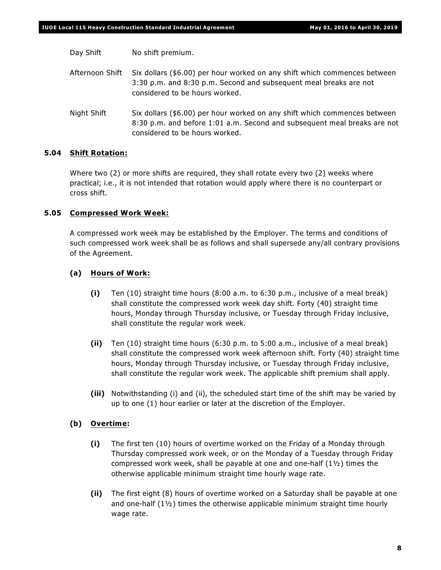Day Shift No shift premium.

Afternoon Shift Six dollars (\$6.00) per hour worked on any shift which commences between 3:30 p.m. and 8:30 p.m. Second and subsequent meal breaks are not considered to be hours worked.

Night Shift Six dollars (\$6.00) per hour worked on any shift which commences between 8:30 p.m. and before 1:01 a.m. Second and subsequent meal breaks are not considered to be hours worked.

### **5.04 Shift Rotation:**

Where two (2) or more shifts are required, they shall rotate every two (2) weeks where practical; i.e., it is not intended that rotation would apply where there is no counterpart or cross shift.

### **5.05 Compressed Work Week:**

A compressed work week may be established by the Employer. The terms and conditions of such compressed work week shall be as follows and shall supersede any/all contrary provisions of the Agreement.

### **(a) Hours of Work:**

- **(i)** Ten (10) straight time hours (8:00 a.m. to 6:30 p.m., inclusive of a meal break) shall constitute the compressed work week day shift. Forty (40) straight time hours, Monday through Thursday inclusive, or Tuesday through Friday inclusive, shall constitute the regular work week.
- **(ii)** Ten (10) straight time hours (6:30 p.m. to 5:00 a.m., inclusive of a meal break) shall constitute the compressed work week afternoon shift. Forty (40) straight time hours, Monday through Thursday inclusive, or Tuesday through Friday inclusive, shall constitute the regular work week. The applicable shift premium shall apply.
- **(iii)** Notwithstanding (i) and (ii), the scheduled start time of the shift may be varied by up to one (1) hour earlier or later at the discretion of the Employer.

### **(b) Overtime:**

- **(i)** The first ten (10) hours of overtime worked on the Friday of a Monday through Thursday compressed work week, or on the Monday of a Tuesday through Friday compressed work week, shall be payable at one and one-half  $(1<sup>1</sup>)<sub>2</sub>$ ) times the otherwise applicable minimum straight time hourly wage rate.
- **(ii)** The first eight (8) hours of overtime worked on a Saturday shall be payable at one and one-half  $(1\frac{1}{2})$  times the otherwise applicable minimum straight time hourly wage rate.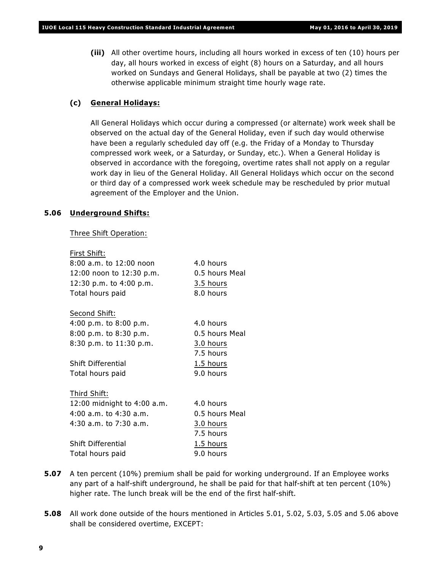**(iii)** All other overtime hours, including all hours worked in excess of ten (10) hours per day, all hours worked in excess of eight (8) hours on a Saturday, and all hours worked on Sundays and General Holidays, shall be payable at two (2) times the otherwise applicable minimum straight time hourly wage rate.

### **(c) General Holidays:**

All General Holidays which occur during a compressed (or alternate) work week shall be observed on the actual day of the General Holiday, even if such day would otherwise have been a regularly scheduled day off (e.g. the Friday of a Monday to Thursday compressed work week, or a Saturday, or Sunday, etc.). When a General Holiday is observed in accordance with the foregoing, overtime rates shall not apply on a regular work day in lieu of the General Holiday. All General Holidays which occur on the second or third day of a compressed work week schedule may be rescheduled by prior mutual agreement of the Employer and the Union.

### **5.06 Underground Shifts:**

Three Shift Operation:

| First Shift:                |                |
|-----------------------------|----------------|
| $8:00$ a.m. to $12:00$ noon | 4.0 hours      |
| 12:00 noon to 12:30 p.m.    | 0.5 hours Meal |
| 12:30 p.m. to 4:00 p.m.     | 3.5 hours      |
| Total hours paid            | 8.0 hours      |
|                             |                |
| Second Shift:               |                |
| 4:00 p.m. to $8:00$ p.m.    | 4.0 hours      |
| $8:00$ p.m. to $8:30$ p.m.  | 0.5 hours Meal |
| 8:30 p.m. to 11:30 p.m.     | 3.0 hours      |
|                             | 7.5 hours      |
| Shift Differential          | 1.5 hours      |
| Total hours paid            | 9.0 hours      |
|                             |                |
| Third Shift:                |                |
| 12:00 midnight to 4:00 a.m. | 4.0 hours      |
| 4:00 a.m. to 4:30 a.m.      | 0.5 hours Meal |
| 4:30 a.m. to 7:30 a.m.      | 3.0 hours      |
|                             | 7.5 hours      |
| Shift Differential          | 1.5 hours      |
| Total hours paid            | 9.0 hours      |

- **5.07** A ten percent (10%) premium shall be paid for working underground. If an Employee works any part of a half-shift underground, he shall be paid for that half-shift at ten percent (10%) higher rate. The lunch break will be the end of the first half-shift.
- **5.08** All work done outside of the hours mentioned in Articles 5.01, 5.02, 5.03, 5.05 and 5.06 above shall be considered overtime, EXCEPT: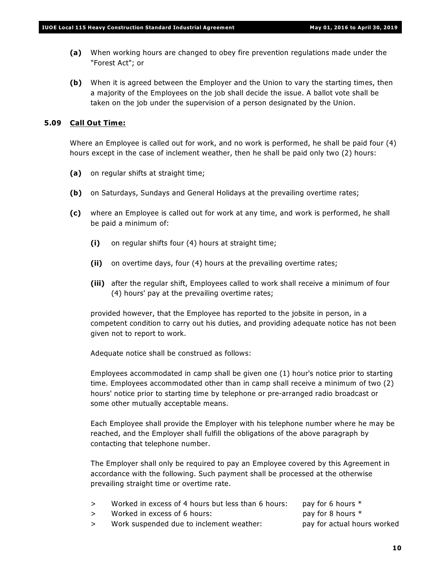- **(a)** When working hours are changed to obey fire prevention regulations made under the "Forest Act"; or
- **(b)** When it is agreed between the Employer and the Union to vary the starting times, then a majority of the Employees on the job shall decide the issue. A ballot vote shall be taken on the job under the supervision of a person designated by the Union.

### **5.09 Call Out Time:**

Where an Employee is called out for work, and no work is performed, he shall be paid four (4) hours except in the case of inclement weather, then he shall be paid only two (2) hours:

- **(a)** on regular shifts at straight time;
- **(b)** on Saturdays, Sundays and General Holidays at the prevailing overtime rates;
- **(c)** where an Employee is called out for work at any time, and work is performed, he shall be paid a minimum of:
	- **(i)** on regular shifts four (4) hours at straight time;
	- **(ii)** on overtime days, four (4) hours at the prevailing overtime rates;
	- **(iii)** after the regular shift, Employees called to work shall receive a minimum of four (4) hours' pay at the prevailing overtime rates;

provided however, that the Employee has reported to the jobsite in person, in a competent condition to carry out his duties, and providing adequate notice has not been given not to report to work.

Adequate notice shall be construed as follows:

Employees accommodated in camp shall be given one (1) hour's notice prior to starting time. Employees accommodated other than in camp shall receive a minimum of two (2) hours' notice prior to starting time by telephone or pre-arranged radio broadcast or some other mutually acceptable means.

Each Employee shall provide the Employer with his telephone number where he may be reached, and the Employer shall fulfill the obligations of the above paragraph by contacting that telephone number.

The Employer shall only be required to pay an Employee covered by this Agreement in accordance with the following. Such payment shall be processed at the otherwise prevailing straight time or overtime rate.

- > Worked in excess of 4 hours but less than 6 hours: pay for 6 hours \*
- > Worked in excess of 6 hours: pay for 8 hours \*
- 
- > Work suspended due to inclement weather: pay for actual hours worked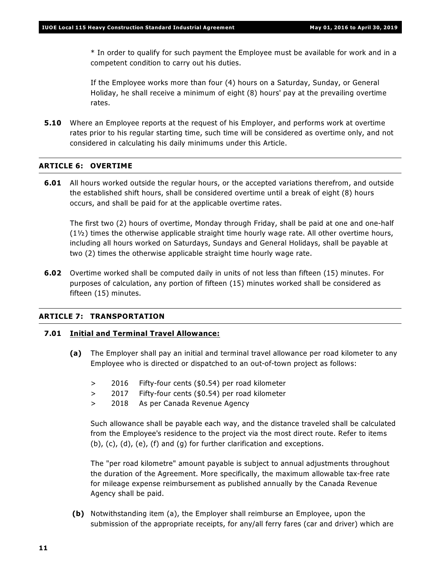\* In order to qualify for such payment the Employee must be available for work and in a competent condition to carry out his duties.

If the Employee works more than four (4) hours on a Saturday, Sunday, or General Holiday, he shall receive a minimum of eight (8) hours' pay at the prevailing overtime rates.

**5.10** Where an Employee reports at the request of his Employer, and performs work at overtime rates prior to his regular starting time, such time will be considered as overtime only, and not considered in calculating his daily minimums under this Article.

### **ARTICLE 6: OVERTIME**

**6.01** All hours worked outside the regular hours, or the accepted variations therefrom, and outside the established shift hours, shall be considered overtime until a break of eight (8) hours occurs, and shall be paid for at the applicable overtime rates.

The first two (2) hours of overtime, Monday through Friday, shall be paid at one and one-half (1½) times the otherwise applicable straight time hourly wage rate. All other overtime hours, including all hours worked on Saturdays, Sundays and General Holidays, shall be payable at two (2) times the otherwise applicable straight time hourly wage rate.

**6.02** Overtime worked shall be computed daily in units of not less than fifteen (15) minutes. For purposes of calculation, any portion of fifteen (15) minutes worked shall be considered as fifteen (15) minutes.

### **ARTICLE 7: TRANSPORTATION**

### **7.01 Initial and Terminal Travel Allowance:**

- **(a)** The Employer shall pay an initial and terminal travel allowance per road kilometer to any Employee who is directed or dispatched to an out-of-town project as follows:
	- > 2016 Fifty-four cents (\$0.54) per road kilometer
	- > 2017 Fifty-four cents (\$0.54) per road kilometer
	- > 2018 As per Canada Revenue Agency

Such allowance shall be payable each way, and the distance traveled shall be calculated from the Employee's residence to the project via the most direct route. Refer to items (b), (c), (d), (e), (f) and (g) for further clarification and exceptions.

The "per road kilometre" amount payable is subject to annual adjustments throughout the duration of the Agreement. More specifically, the maximum allowable tax-free rate for mileage expense reimbursement as published annually by the Canada Revenue Agency shall be paid.

**(b)** Notwithstanding item (a), the Employer shall reimburse an Employee, upon the submission of the appropriate receipts, for any/all ferry fares (car and driver) which are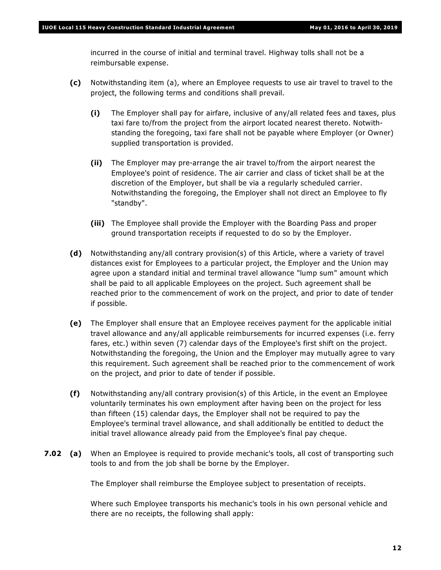incurred in the course of initial and terminal travel. Highway tolls shall not be a reimbursable expense.

- **(c)** Notwithstanding item (a), where an Employee requests to use air travel to travel to the project, the following terms and conditions shall prevail.
	- **(i)** The Employer shall pay for airfare, inclusive of any/all related fees and taxes, plus taxi fare to/from the project from the airport located nearest thereto. Notwithstanding the foregoing, taxi fare shall not be payable where Employer (or Owner) supplied transportation is provided.
	- **(ii)** The Employer may pre-arrange the air travel to/from the airport nearest the Employee's point of residence. The air carrier and class of ticket shall be at the discretion of the Employer, but shall be via a regularly scheduled carrier. Notwithstanding the foregoing, the Employer shall not direct an Employee to fly "standby".
	- **(iii)** The Employee shall provide the Employer with the Boarding Pass and proper ground transportation receipts if requested to do so by the Employer.
- **(d)** Notwithstanding any/all contrary provision(s) of this Article, where a variety of travel distances exist for Employees to a particular project, the Employer and the Union may agree upon a standard initial and terminal travel allowance "lump sum" amount which shall be paid to all applicable Employees on the project. Such agreement shall be reached prior to the commencement of work on the project, and prior to date of tender if possible.
- **(e)** The Employer shall ensure that an Employee receives payment for the applicable initial travel allowance and any/all applicable reimbursements for incurred expenses (i.e. ferry fares, etc.) within seven (7) calendar days of the Employee's first shift on the project. Notwithstanding the foregoing, the Union and the Employer may mutually agree to vary this requirement. Such agreement shall be reached prior to the commencement of work on the project, and prior to date of tender if possible.
- **(f)** Notwithstanding any/all contrary provision(s) of this Article, in the event an Employee voluntarily terminates his own employment after having been on the project for less than fifteen (15) calendar days, the Employer shall not be required to pay the Employee's terminal travel allowance, and shall additionally be entitled to deduct the initial travel allowance already paid from the Employee's final pay cheque.
- **7.02 (a)** When an Employee is required to provide mechanic's tools, all cost of transporting such tools to and from the job shall be borne by the Employer.

The Employer shall reimburse the Employee subject to presentation of receipts.

Where such Employee transports his mechanic's tools in his own personal vehicle and there are no receipts, the following shall apply: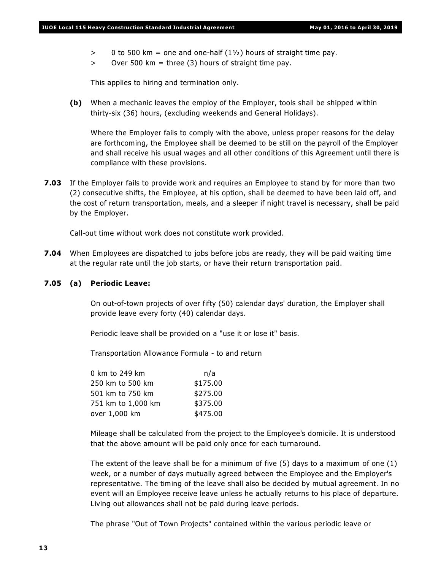- $> 0$  to 500 km = one and one-half  $(1\frac{1}{2})$  hours of straight time pay.
- $>$  Over 500 km = three (3) hours of straight time pay.

This applies to hiring and termination only.

**(b)** When a mechanic leaves the employ of the Employer, tools shall be shipped within thirty-six (36) hours, (excluding weekends and General Holidays).

Where the Employer fails to comply with the above, unless proper reasons for the delay are forthcoming, the Employee shall be deemed to be still on the payroll of the Employer and shall receive his usual wages and all other conditions of this Agreement until there is compliance with these provisions.

**7.03** If the Employer fails to provide work and requires an Employee to stand by for more than two (2) consecutive shifts, the Employee, at his option, shall be deemed to have been laid off, and the cost of return transportation, meals, and a sleeper if night travel is necessary, shall be paid by the Employer.

Call-out time without work does not constitute work provided.

**7.04** When Employees are dispatched to jobs before jobs are ready, they will be paid waiting time at the regular rate until the job starts, or have their return transportation paid.

### **7.05 (a) Periodic Leave:**

On out-of-town projects of over fifty (50) calendar days' duration, the Employer shall provide leave every forty (40) calendar days.

Periodic leave shall be provided on a "use it or lose it" basis.

Transportation Allowance Formula - to and return

| 0 km to 249 km     | n/a      |
|--------------------|----------|
| 250 km to 500 km   | \$175.00 |
| 501 km to 750 km   | \$275.00 |
| 751 km to 1,000 km | \$375.00 |
| over 1,000 km      | \$475.00 |

Mileage shall be calculated from the project to the Employee's domicile. It is understood that the above amount will be paid only once for each turnaround.

The extent of the leave shall be for a minimum of five (5) days to a maximum of one (1) week, or a number of days mutually agreed between the Employee and the Employer's representative. The timing of the leave shall also be decided by mutual agreement. In no event will an Employee receive leave unless he actually returns to his place of departure. Living out allowances shall not be paid during leave periods.

The phrase "Out of Town Projects" contained within the various periodic leave or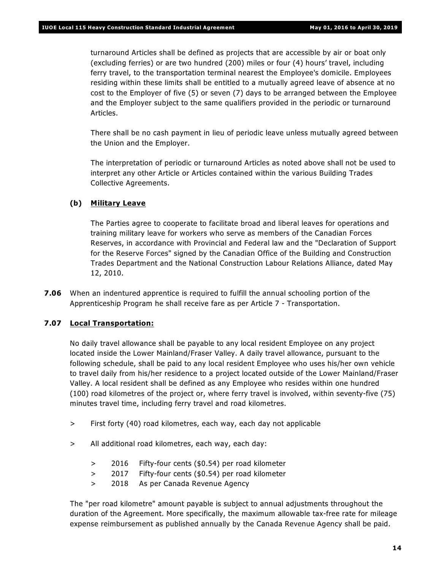turnaround Articles shall be defined as projects that are accessible by air or boat only (excluding ferries) or are two hundred (200) miles or four (4) hours' travel, including ferry travel, to the transportation terminal nearest the Employee's domicile. Employees residing within these limits shall be entitled to a mutually agreed leave of absence at no cost to the Employer of five (5) or seven (7) days to be arranged between the Employee and the Employer subject to the same qualifiers provided in the periodic or turnaround Articles.

There shall be no cash payment in lieu of periodic leave unless mutually agreed between the Union and the Employer.

The interpretation of periodic or turnaround Articles as noted above shall not be used to interpret any other Article or Articles contained within the various Building Trades Collective Agreements.

### **(b) Military Leave**

The Parties agree to cooperate to facilitate broad and liberal leaves for operations and training military leave for workers who serve as members of the Canadian Forces Reserves, in accordance with Provincial and Federal law and the "Declaration of Support for the Reserve Forces" signed by the Canadian Office of the Building and Construction Trades Department and the National Construction Labour Relations Alliance, dated May 12, 2010.

**7.06** When an indentured apprentice is required to fulfill the annual schooling portion of the Apprenticeship Program he shall receive fare as per Article 7 - Transportation.

### **7.07 Local Transportation:**

No daily travel allowance shall be payable to any local resident Employee on any project located inside the Lower Mainland/Fraser Valley. A daily travel allowance, pursuant to the following schedule, shall be paid to any local resident Employee who uses his/her own vehicle to travel daily from his/her residence to a project located outside of the Lower Mainland/Fraser Valley. A local resident shall be defined as any Employee who resides within one hundred (100) road kilometres of the project or, where ferry travel is involved, within seventy-five (75) minutes travel time, including ferry travel and road kilometres.

- > First forty (40) road kilometres, each way, each day not applicable
- > All additional road kilometres, each way, each day:
	- > 2016 Fifty-four cents (\$0.54) per road kilometer
	- > 2017 Fifty-four cents (\$0.54) per road kilometer
	- > 2018 As per Canada Revenue Agency

The "per road kilometre" amount payable is subject to annual adjustments throughout the duration of the Agreement. More specifically, the maximum allowable tax-free rate for mileage expense reimbursement as published annually by the Canada Revenue Agency shall be paid.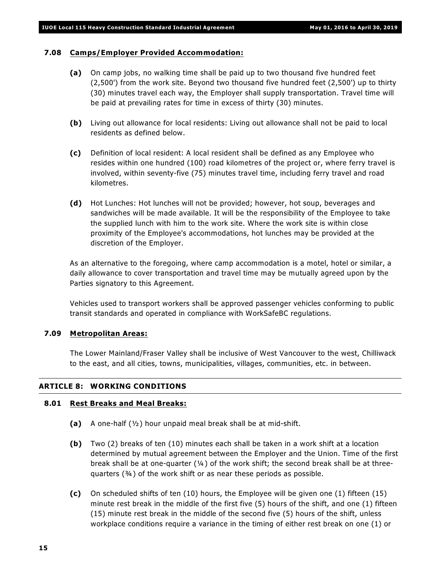### **7.08 Camps/Employer Provided Accommodation:**

- **(a)** On camp jobs, no walking time shall be paid up to two thousand five hundred feet (2,500') from the work site. Beyond two thousand five hundred feet (2,500') up to thirty (30) minutes travel each way, the Employer shall supply transportation. Travel time will be paid at prevailing rates for time in excess of thirty (30) minutes.
- **(b)** Living out allowance for local residents: Living out allowance shall not be paid to local residents as defined below.
- **(c)** Definition of local resident: A local resident shall be defined as any Employee who resides within one hundred (100) road kilometres of the project or, where ferry travel is involved, within seventy-five (75) minutes travel time, including ferry travel and road kilometres.
- **(d)** Hot Lunches: Hot lunches will not be provided; however, hot soup, beverages and sandwiches will be made available. It will be the responsibility of the Employee to take the supplied lunch with him to the work site. Where the work site is within close proximity of the Employee's accommodations, hot lunches may be provided at the discretion of the Employer.

As an alternative to the foregoing, where camp accommodation is a motel, hotel or similar, a daily allowance to cover transportation and travel time may be mutually agreed upon by the Parties signatory to this Agreement.

Vehicles used to transport workers shall be approved passenger vehicles conforming to public transit standards and operated in compliance with WorkSafeBC regulations.

### **7.09 Metropolitan Areas:**

The Lower Mainland/Fraser Valley shall be inclusive of West Vancouver to the west, Chilliwack to the east, and all cities, towns, municipalities, villages, communities, etc. in between.

### **ARTICLE 8: WORKING CONDITIONS**

### **8.01 Rest Breaks and Meal Breaks:**

- **(a)** A one-half (½) hour unpaid meal break shall be at mid-shift.
- **(b)** Two (2) breaks of ten (10) minutes each shall be taken in a work shift at a location determined by mutual agreement between the Employer and the Union. Time of the first break shall be at one-quarter  $(4)$  of the work shift; the second break shall be at threequarters (¾) of the work shift or as near these periods as possible.
- **(c)** On scheduled shifts of ten (10) hours, the Employee will be given one (1) fifteen (15) minute rest break in the middle of the first five (5) hours of the shift, and one (1) fifteen (15) minute rest break in the middle of the second five (5) hours of the shift, unless workplace conditions require a variance in the timing of either rest break on one (1) or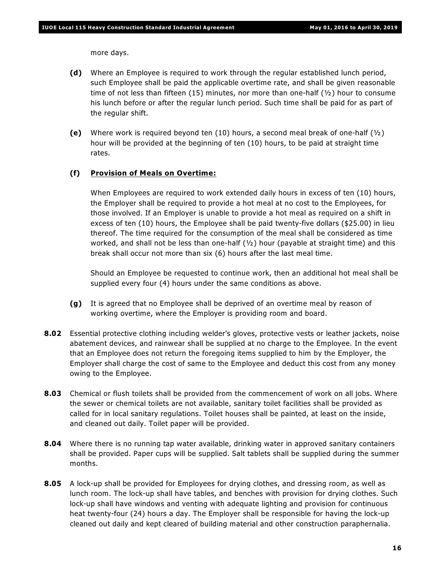more days.

- **(d)** Where an Employee is required to work through the regular established lunch period, such Employee shall be paid the applicable overtime rate, and shall be given reasonable time of not less than fifteen (15) minutes, nor more than one-half ( $\frac{1}{2}$ ) hour to consume his lunch before or after the regular lunch period. Such time shall be paid for as part of the regular shift.
- **(e)** Where work is required beyond ten (10) hours, a second meal break of one-half (½) hour will be provided at the beginning of ten (10) hours, to be paid at straight time rates.

### **(f) Provision of Meals on Overtime:**

When Employees are required to work extended daily hours in excess of ten (10) hours, the Employer shall be required to provide a hot meal at no cost to the Employees, for those involved. If an Employer is unable to provide a hot meal as required on a shift in excess of ten (10) hours, the Employee shall be paid twenty-five dollars (\$25.00) in lieu thereof. The time required for the consumption of the meal shall be considered as time worked, and shall not be less than one-half  $(y_2)$  hour (payable at straight time) and this break shall occur not more than six (6) hours after the last meal time.

Should an Employee be requested to continue work, then an additional hot meal shall be supplied every four (4) hours under the same conditions as above.

- **(g)** It is agreed that no Employee shall be deprived of an overtime meal by reason of working overtime, where the Employer is providing room and board.
- **8.02** Essential protective clothing including welder's gloves, protective vests or leather jackets, noise abatement devices, and rainwear shall be supplied at no charge to the Employee. In the event that an Employee does not return the foregoing items supplied to him by the Employer, the Employer shall charge the cost of same to the Employee and deduct this cost from any money owing to the Employee.
- **8.03** Chemical or flush toilets shall be provided from the commencement of work on all jobs. Where the sewer or chemical toilets are not available, sanitary toilet facilities shall be provided as called for in local sanitary regulations. Toilet houses shall be painted, at least on the inside, and cleaned out daily. Toilet paper will be provided.
- **8.04** Where there is no running tap water available, drinking water in approved sanitary containers shall be provided. Paper cups will be supplied. Salt tablets shall be supplied during the summer months.
- **8.05** A lock-up shall be provided for Employees for drying clothes, and dressing room, as well as lunch room. The lock-up shall have tables, and benches with provision for drying clothes. Such lock-up shall have windows and venting with adequate lighting and provision for continuous heat twenty-four (24) hours a day. The Employer shall be responsible for having the lock-up cleaned out daily and kept cleared of building material and other construction paraphernalia.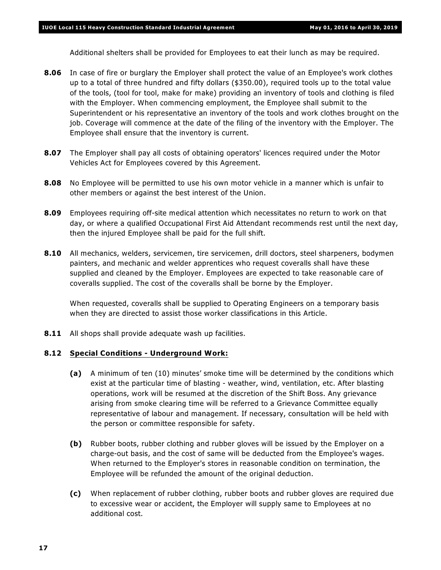Additional shelters shall be provided for Employees to eat their lunch as may be required.

- **8.06** In case of fire or burglary the Employer shall protect the value of an Employee's work clothes up to a total of three hundred and fifty dollars (\$350.00), required tools up to the total value of the tools, (tool for tool, make for make) providing an inventory of tools and clothing is filed with the Employer. When commencing employment, the Employee shall submit to the Superintendent or his representative an inventory of the tools and work clothes brought on the job. Coverage will commence at the date of the filing of the inventory with the Employer. The Employee shall ensure that the inventory is current.
- **8.07** The Employer shall pay all costs of obtaining operators' licences required under the *Motor Vehicles Act* for Employees covered by this Agreement.
- **8.08** No Employee will be permitted to use his own motor vehicle in a manner which is unfair to other members or against the best interest of the Union.
- **8.09** Employees requiring off-site medical attention which necessitates no return to work on that day, or where a qualified Occupational First Aid Attendant recommends rest until the next day, then the injured Employee shall be paid for the full shift.
- **8.10** All mechanics, welders, servicemen, tire servicemen, drill doctors, steel sharpeners, bodymen painters, and mechanic and welder apprentices who request coveralls shall have these supplied and cleaned by the Employer. Employees are expected to take reasonable care of coveralls supplied. The cost of the coveralls shall be borne by the Employer.

When requested, coveralls shall be supplied to Operating Engineers on a temporary basis when they are directed to assist those worker classifications in this Article.

**8.11** All shops shall provide adequate wash up facilities.

### **8.12 Special Conditions - Underground Work:**

- **(a)** A minimum of ten (10) minutes' smoke time will be determined by the conditions which exist at the particular time of blasting - weather, wind, ventilation, etc. After blasting operations, work will be resumed at the discretion of the Shift Boss. Any grievance arising from smoke clearing time will be referred to a Grievance Committee equally representative of labour and management. If necessary, consultation will be held with the person or committee responsible for safety.
- **(b)** Rubber boots, rubber clothing and rubber gloves will be issued by the Employer on a charge-out basis, and the cost of same will be deducted from the Employee's wages. When returned to the Employer's stores in reasonable condition on termination, the Employee will be refunded the amount of the original deduction.
- **(c)** When replacement of rubber clothing, rubber boots and rubber gloves are required due to excessive wear or accident, the Employer will supply same to Employees at no additional cost.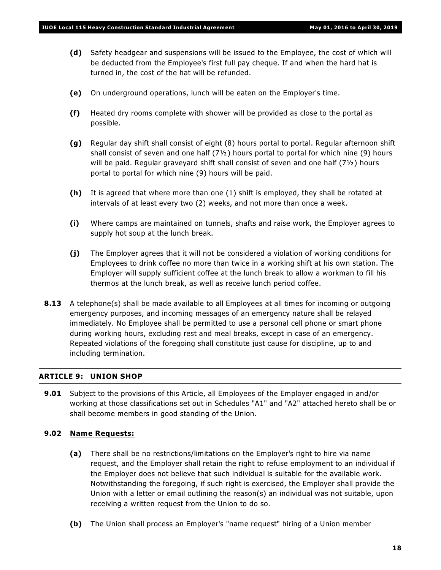- **(d)** Safety headgear and suspensions will be issued to the Employee, the cost of which will be deducted from the Employee's first full pay cheque. If and when the hard hat is turned in, the cost of the hat will be refunded.
- **(e)** On underground operations, lunch will be eaten on the Employer's time.
- **(f)** Heated dry rooms complete with shower will be provided as close to the portal as possible.
- **(g)** Regular day shift shall consist of eight (8) hours portal to portal. Regular afternoon shift shall consist of seven and one half  $(7<sup>1</sup>2)$  hours portal to portal for which nine (9) hours will be paid. Regular graveyard shift shall consist of seven and one half  $(7<sup>1</sup>)<sub>2</sub>$ ) hours portal to portal for which nine (9) hours will be paid.
- **(h)** It is agreed that where more than one (1) shift is employed, they shall be rotated at intervals of at least every two (2) weeks, and not more than once a week.
- **(i)** Where camps are maintained on tunnels, shafts and raise work, the Employer agrees to supply hot soup at the lunch break.
- **(j)** The Employer agrees that it will not be considered a violation of working conditions for Employees to drink coffee no more than twice in a working shift at his own station. The Employer will supply sufficient coffee at the lunch break to allow a workman to fill his thermos at the lunch break, as well as receive lunch period coffee.
- **8.13** A telephone(s) shall be made available to all Employees at all times for incoming or outgoing emergency purposes, and incoming messages of an emergency nature shall be relayed immediately. No Employee shall be permitted to use a personal cell phone or smart phone during working hours, excluding rest and meal breaks, except in case of an emergency. Repeated violations of the foregoing shall constitute just cause for discipline, up to and including termination.

### **ARTICLE 9: UNION SHOP**

**9.01** Subject to the provisions of this Article, all Employees of the Employer engaged in and/or working at those classifications set out in Schedules "A1" and "A2" attached hereto shall be or shall become members in good standing of the Union.

### **9.02 Name Requests:**

- **(a)** There shall be no restrictions/limitations on the Employer's right to hire via name request, and the Employer shall retain the right to refuse employment to an individual if the Employer does not believe that such individual is suitable for the available work. Notwithstanding the foregoing, if such right is exercised, the Employer shall provide the Union with a letter or email outlining the reason(s) an individual was not suitable, upon receiving a written request from the Union to do so.
- **(b)** The Union shall process an Employer's "name request" hiring of a Union member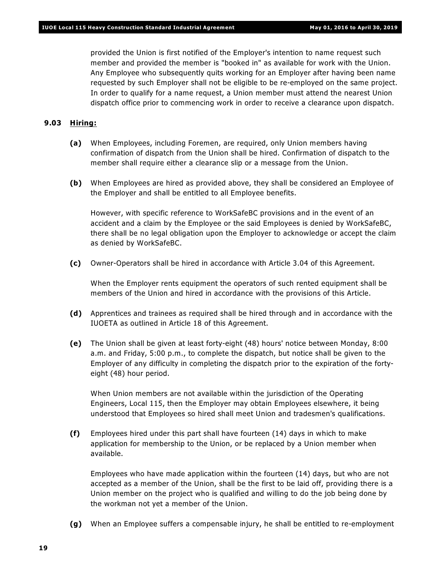provided the Union is first notified of the Employer's intention to name request such member and provided the member is "booked in" as available for work with the Union. Any Employee who subsequently quits working for an Employer after having been name requested by such Employer shall not be eligible to be re-employed on the same project. In order to qualify for a name request, a Union member must attend the nearest Union dispatch office prior to commencing work in order to receive a clearance upon dispatch.

### **9.03 Hiring:**

- **(a)** When Employees, including Foremen, are required, only Union members having confirmation of dispatch from the Union shall be hired. Confirmation of dispatch to the member shall require either a clearance slip or a message from the Union.
- **(b)** When Employees are hired as provided above, they shall be considered an Employee of the Employer and shall be entitled to all Employee benefits.

However, with specific reference to WorkSafeBC provisions and in the event of an accident and a claim by the Employee or the said Employees is denied by WorkSafeBC, there shall be no legal obligation upon the Employer to acknowledge or accept the claim as denied by WorkSafeBC.

**(c)** Owner-Operators shall be hired in accordance with Article 3.04 of this Agreement.

When the Employer rents equipment the operators of such rented equipment shall be members of the Union and hired in accordance with the provisions of this Article.

- **(d)** Apprentices and trainees as required shall be hired through and in accordance with the IUOETA as outlined in Article 18 of this Agreement.
- **(e)** The Union shall be given at least forty-eight (48) hours' notice between Monday, 8:00 a.m. and Friday, 5:00 p.m., to complete the dispatch, but notice shall be given to the Employer of any difficulty in completing the dispatch prior to the expiration of the fortyeight (48) hour period.

When Union members are not available within the jurisdiction of the Operating Engineers, Local 115, then the Employer may obtain Employees elsewhere, it being understood that Employees so hired shall meet Union and tradesmen's qualifications.

**(f)** Employees hired under this part shall have fourteen (14) days in which to make application for membership to the Union, or be replaced by a Union member when available.

Employees who have made application within the fourteen (14) days, but who are not accepted as a member of the Union, shall be the first to be laid off, providing there is a Union member on the project who is qualified and willing to do the job being done by the workman not yet a member of the Union.

**(g)** When an Employee suffers a compensable injury, he shall be entitled to re-employment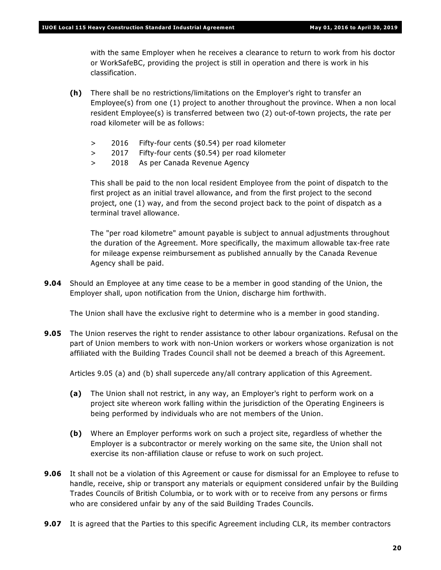with the same Employer when he receives a clearance to return to work from his doctor or WorkSafeBC, providing the project is still in operation and there is work in his classification.

- **(h)** There shall be no restrictions/limitations on the Employer's right to transfer an Employee(s) from one (1) project to another throughout the province. When a non local resident Employee(s) is transferred between two (2) out-of-town projects, the rate per road kilometer will be as follows:
	- > 2016 Fifty-four cents (\$0.54) per road kilometer
	- > 2017 Fifty-four cents (\$0.54) per road kilometer
	- > 2018 As per Canada Revenue Agency

This shall be paid to the non local resident Employee from the point of dispatch to the first project as an initial travel allowance, and from the first project to the second project, one (1) way, and from the second project back to the point of dispatch as a terminal travel allowance.

The "per road kilometre" amount payable is subject to annual adjustments throughout the duration of the Agreement. More specifically, the maximum allowable tax-free rate for mileage expense reimbursement as published annually by the Canada Revenue Agency shall be paid.

**9.04** Should an Employee at any time cease to be a member in good standing of the Union, the Employer shall, upon notification from the Union, discharge him forthwith.

The Union shall have the exclusive right to determine who is a member in good standing.

**9.05** The Union reserves the right to render assistance to other labour organizations. Refusal on the part of Union members to work with non-Union workers or workers whose organization is not affiliated with the Building Trades Council shall not be deemed a breach of this Agreement.

Articles 9.05 (a) and (b) shall supercede any/all contrary application of this Agreement.

- **(a)** The Union shall not restrict, in any way, an Employer's right to perform work on a project site whereon work falling within the jurisdiction of the Operating Engineers is being performed by individuals who are not members of the Union.
- **(b)** Where an Employer performs work on such a project site, regardless of whether the Employer is a subcontractor or merely working on the same site, the Union shall not exercise its non-affiliation clause or refuse to work on such project.
- **9.06** It shall not be a violation of this Agreement or cause for dismissal for an Employee to refuse to handle, receive, ship or transport any materials or equipment considered unfair by the Building Trades Councils of British Columbia, or to work with or to receive from any persons or firms who are considered unfair by any of the said Building Trades Councils.
- **9.07** It is agreed that the Parties to this specific Agreement including CLR, its member contractors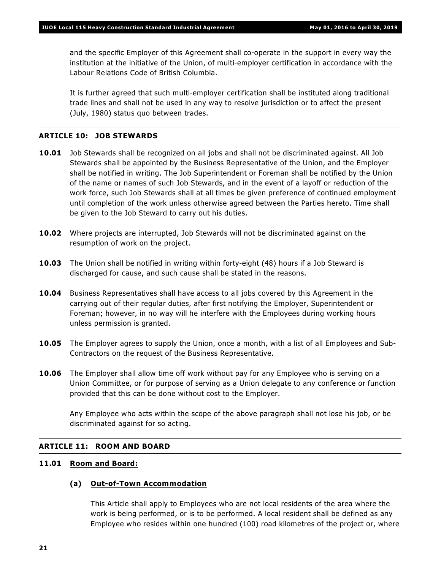and the specific Employer of this Agreement shall co-operate in the support in every way the institution at the initiative of the Union, of multi-employer certification in accordance with the *Labour Relations Code* of British Columbia.

It is further agreed that such multi-employer certification shall be instituted along traditional trade lines and shall not be used in any way to resolve jurisdiction or to affect the present (July, 1980) status quo between trades.

### **ARTICLE 10: JOB STEWARDS**

- **10.01** Job Stewards shall be recognized on all jobs and shall not be discriminated against. All Job Stewards shall be appointed by the Business Representative of the Union, and the Employer shall be notified in writing. The Job Superintendent or Foreman shall be notified by the Union of the name or names of such Job Stewards, and in the event of a layoff or reduction of the work force, such Job Stewards shall at all times be given preference of continued employment until completion of the work unless otherwise agreed between the Parties hereto. Time shall be given to the Job Steward to carry out his duties.
- **10.02** Where projects are interrupted, Job Stewards will not be discriminated against on the resumption of work on the project.
- **10.03** The Union shall be notified in writing within forty-eight (48) hours if a Job Steward is discharged for cause, and such cause shall be stated in the reasons.
- **10.04** Business Representatives shall have access to all jobs covered by this Agreement in the carrying out of their regular duties, after first notifying the Employer, Superintendent or Foreman; however, in no way will he interfere with the Employees during working hours unless permission is granted.
- **10.05** The Employer agrees to supply the Union, once a month, with a list of all Employees and Sub-Contractors on the request of the Business Representative.
- **10.06** The Employer shall allow time off work without pay for any Employee who is serving on a Union Committee, or for purpose of serving as a Union delegate to any conference or function provided that this can be done without cost to the Employer.

Any Employee who acts within the scope of the above paragraph shall not lose his job, or be discriminated against for so acting.

### **ARTICLE 11: ROOM AND BOARD**

### **11.01 Room and Board:**

### **(a) Out-of-Town Accommodation**

This Article shall apply to Employees who are not local residents of the area where the work is being performed, or is to be performed. A local resident shall be defined as any Employee who resides within one hundred (100) road kilometres of the project or, where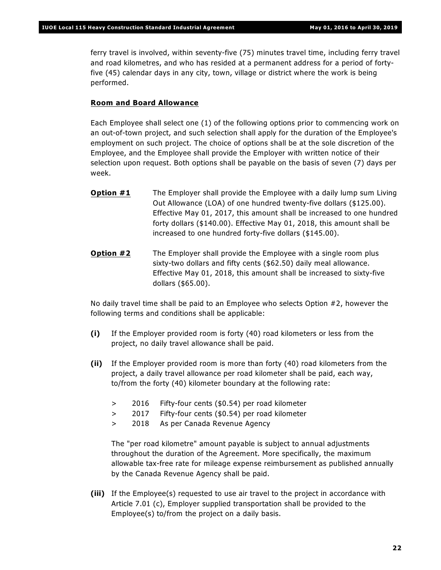ferry travel is involved, within seventy-five (75) minutes travel time, including ferry travel and road kilometres, and who has resided at a permanent address for a period of fortyfive (45) calendar days in any city, town, village or district where the work is being performed.

### **Room and Board Allowance**

Each Employee shall select one (1) of the following options prior to commencing work on an out-of-town project, and such selection shall apply for the duration of the Employee's employment on such project. The choice of options shall be at the sole discretion of the Employee, and the Employee shall provide the Employer with written notice of their selection upon request. Both options shall be payable on the basis of seven (7) days per week.

- **Option #1** The Employer shall provide the Employee with a daily lump sum Living Out Allowance (LOA) of one hundred twenty-five dollars (\$125.00). Effective May 01, 2017, this amount shall be increased to one hundred forty dollars (\$140.00). Effective May 01, 2018, this amount shall be increased to one hundred forty-five dollars (\$145.00).
- **Option #2** The Employer shall provide the Employee with a single room plus sixty-two dollars and fifty cents (\$62.50) daily meal allowance. Effective May 01, 2018, this amount shall be increased to sixty-five dollars (\$65.00).

No daily travel time shall be paid to an Employee who selects Option #2, however the following terms and conditions shall be applicable:

- **(i)** If the Employer provided room is forty (40) road kilometers or less from the project, no daily travel allowance shall be paid.
- **(ii)** If the Employer provided room is more than forty (40) road kilometers from the project, a daily travel allowance per road kilometer shall be paid, each way, to/from the forty (40) kilometer boundary at the following rate:
	- > 2016 Fifty-four cents (\$0.54) per road kilometer
	- > 2017 Fifty-four cents (\$0.54) per road kilometer
	- > 2018 As per Canada Revenue Agency

The "per road kilometre" amount payable is subject to annual adjustments throughout the duration of the Agreement. More specifically, the maximum allowable tax-free rate for mileage expense reimbursement as published annually by the Canada Revenue Agency shall be paid.

**(iii)** If the Employee(s) requested to use air travel to the project in accordance with Article 7.01 (c), Employer supplied transportation shall be provided to the Employee(s) to/from the project on a daily basis.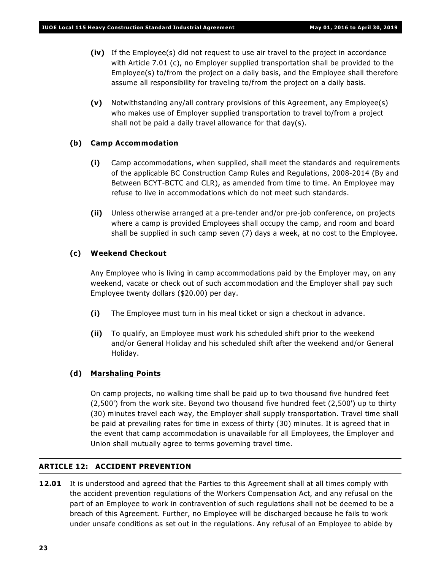- **(iv)** If the Employee(s) did not request to use air travel to the project in accordance with Article 7.01 (c), no Employer supplied transportation shall be provided to the Employee(s) to/from the project on a daily basis, and the Employee shall therefore assume all responsibility for traveling to/from the project on a daily basis.
- **(v)** Notwithstanding any/all contrary provisions of this Agreement, any Employee(s) who makes use of Employer supplied transportation to travel to/from a project shall not be paid a daily travel allowance for that day(s).

### **(b) Camp Accommodation**

- **(i)** Camp accommodations, when supplied, shall meet the standards and requirements of the applicable BC Construction Camp Rules and Regulations, 2008-2014 (By and Between BCYT-BCTC and CLR), as amended from time to time. An Employee may refuse to live in accommodations which do not meet such standards.
- **(ii)** Unless otherwise arranged at a pre-tender and/or pre-job conference, on projects where a camp is provided Employees shall occupy the camp, and room and board shall be supplied in such camp seven (7) days a week, at no cost to the Employee.

### **(c) Weekend Checkout**

Any Employee who is living in camp accommodations paid by the Employer may, on any weekend, vacate or check out of such accommodation and the Employer shall pay such Employee twenty dollars (\$20.00) per day.

- **(i)** The Employee must turn in his meal ticket or sign a checkout in advance.
- **(ii)** To qualify, an Employee must work his scheduled shift prior to the weekend and/or General Holiday and his scheduled shift after the weekend and/or General Holiday.

### **(d) Marshaling Points**

On camp projects, no walking time shall be paid up to two thousand five hundred feet (2,500') from the work site. Beyond two thousand five hundred feet (2,500') up to thirty (30) minutes travel each way, the Employer shall supply transportation. Travel time shall be paid at prevailing rates for time in excess of thirty (30) minutes. It is agreed that in the event that camp accommodation is unavailable for all Employees, the Employer and Union shall mutually agree to terms governing travel time.

### **ARTICLE 12: ACCIDENT PREVENTION**

**12.01** It is understood and agreed that the Parties to this Agreement shall at all times comply with the accident prevention regulations of the *Workers Compensation Act*, and any refusal on the part of an Employee to work in contravention of such regulations shall not be deemed to be a breach of this Agreement. Further, no Employee will be discharged because he fails to work under unsafe conditions as set out in the regulations. Any refusal of an Employee to abide by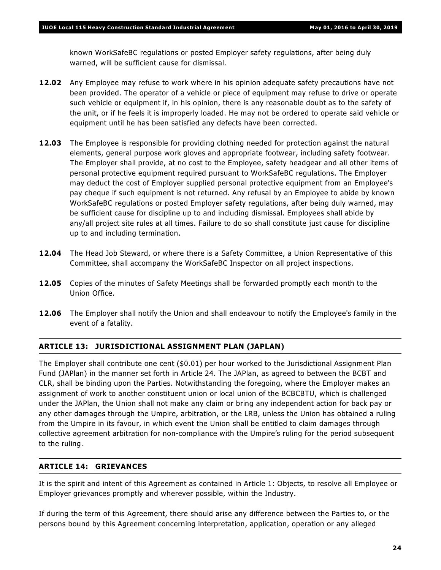known WorkSafeBC regulations or posted Employer safety regulations, after being duly warned, will be sufficient cause for dismissal.

- **12.02** Any Employee may refuse to work where in his opinion adequate safety precautions have not been provided. The operator of a vehicle or piece of equipment may refuse to drive or operate such vehicle or equipment if, in his opinion, there is any reasonable doubt as to the safety of the unit, or if he feels it is improperly loaded. He may not be ordered to operate said vehicle or equipment until he has been satisfied any defects have been corrected.
- **12.03** The Employee is responsible for providing clothing needed for protection against the natural elements, general purpose work gloves and appropriate footwear, including safety footwear. The Employer shall provide, at no cost to the Employee, safety headgear and all other items of personal protective equipment required pursuant to WorkSafeBC regulations. The Employer may deduct the cost of Employer supplied personal protective equipment from an Employee's pay cheque if such equipment is not returned. Any refusal by an Employee to abide by known WorkSafeBC regulations or posted Employer safety regulations, after being duly warned, may be sufficient cause for discipline up to and including dismissal. Employees shall abide by any/all project site rules at all times. Failure to do so shall constitute just cause for discipline up to and including termination.
- **12.04** The Head Job Steward, or where there is a Safety Committee, a Union Representative of this Committee, shall accompany the WorkSafeBC Inspector on all project inspections.
- **12.05** Copies of the minutes of Safety Meetings shall be forwarded promptly each month to the Union Office.
- **12.06** The Employer shall notify the Union and shall endeavour to notify the Employee's family in the event of a fatality.

### **ARTICLE 13: JURISDICTIONAL ASSIGNMENT PLAN (JAPLAN)**

The Employer shall contribute one cent (\$0.01) per hour worked to the Jurisdictional Assignment Plan Fund (JAPlan) in the manner set forth in Article 24. The JAPlan, as agreed to between the BCBT and CLR, shall be binding upon the Parties. Notwithstanding the foregoing, where the Employer makes an assignment of work to another constituent union or local union of the BCBCBTU, which is challenged under the JAPlan, the Union shall not make any claim or bring any independent action for back pay or any other damages through the Umpire, arbitration, or the LRB, unless the Union has obtained a ruling from the Umpire in its favour, in which event the Union shall be entitled to claim damages through collective agreement arbitration for non-compliance with the Umpire's ruling for the period subsequent to the ruling.

### **ARTICLE 14: GRIEVANCES**

It is the spirit and intent of this Agreement as contained in Article 1: Objects, to resolve all Employee or Employer grievances promptly and wherever possible, within the Industry.

If during the term of this Agreement, there should arise any difference between the Parties to, or the persons bound by this Agreement concerning interpretation, application, operation or any alleged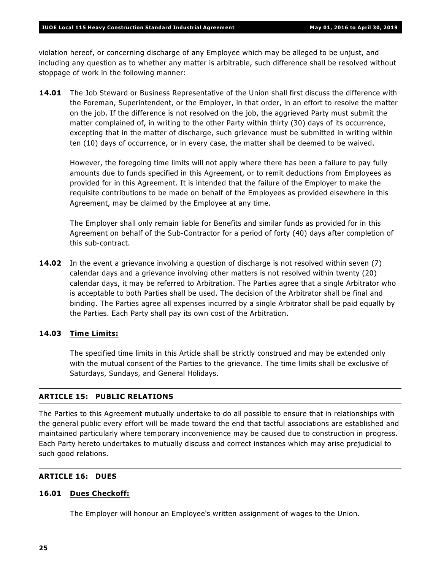violation hereof, or concerning discharge of any Employee which may be alleged to be unjust, and including any question as to whether any matter is arbitrable, such difference shall be resolved without stoppage of work in the following manner:

**14.01** The Job Steward or Business Representative of the Union shall first discuss the difference with the Foreman, Superintendent, or the Employer, in that order, in an effort to resolve the matter on the job. If the difference is not resolved on the job, the aggrieved Party must submit the matter complained of, in writing to the other Party within thirty (30) days of its occurrence, excepting that in the matter of discharge, such grievance must be submitted in writing within ten (10) days of occurrence, or in every case, the matter shall be deemed to be waived.

However, the foregoing time limits will not apply where there has been a failure to pay fully amounts due to funds specified in this Agreement, or to remit deductions from Employees as provided for in this Agreement. It is intended that the failure of the Employer to make the requisite contributions to be made on behalf of the Employees as provided elsewhere in this Agreement, may be claimed by the Employee at any time.

The Employer shall only remain liable for Benefits and similar funds as provided for in this Agreement on behalf of the Sub-Contractor for a period of forty (40) days after completion of this sub-contract.

**14.02** In the event a grievance involving a question of discharge is not resolved within seven (7) calendar days and a grievance involving other matters is not resolved within twenty (20) calendar days, it may be referred to Arbitration. The Parties agree that a single Arbitrator who is acceptable to both Parties shall be used. The decision of the Arbitrator shall be final and binding. The Parties agree all expenses incurred by a single Arbitrator shall be paid equally by the Parties. Each Party shall pay its own cost of the Arbitration.

### **14.03 Time Limits:**

The specified time limits in this Article shall be strictly construed and may be extended only with the mutual consent of the Parties to the grievance. The time limits shall be exclusive of Saturdays, Sundays, and General Holidays.

### **ARTICLE 15: PUBLIC RELATIONS**

The Parties to this Agreement mutually undertake to do all possible to ensure that in relationships with the general public every effort will be made toward the end that tactful associations are established and maintained particularly where temporary inconvenience may be caused due to construction in progress. Each Party hereto undertakes to mutually discuss and correct instances which may arise prejudicial to such good relations.

### **ARTICLE 16: DUES**

### **16.01 Dues Checkoff:**

The Employer will honour an Employee's written assignment of wages to the Union.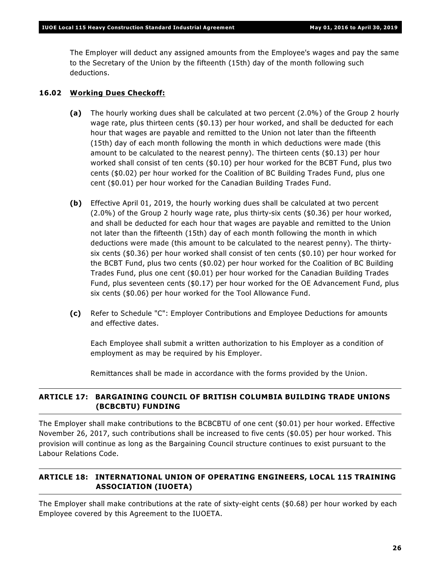The Employer will deduct any assigned amounts from the Employee's wages and pay the same to the Secretary of the Union by the fifteenth (15th) day of the month following such deductions.

### **16.02 Working Dues Checkoff:**

- **(a)** The hourly working dues shall be calculated at two percent (2.0%) of the Group 2 hourly wage rate, plus thirteen cents (\$0.13) per hour worked, and shall be deducted for each hour that wages are payable and remitted to the Union not later than the fifteenth (15th) day of each month following the month in which deductions were made (this amount to be calculated to the nearest penny). The thirteen cents (\$0.13) per hour worked shall consist of ten cents (\$0.10) per hour worked for the BCBT Fund, plus two cents (\$0.02) per hour worked for the Coalition of BC Building Trades Fund, plus one cent (\$0.01) per hour worked for the Canadian Building Trades Fund.
- **(b)** Effective April 01, 2019, the hourly working dues shall be calculated at two percent (2.0%) of the Group 2 hourly wage rate, plus thirty-six cents (\$0.36) per hour worked, and shall be deducted for each hour that wages are payable and remitted to the Union not later than the fifteenth (15th) day of each month following the month in which deductions were made (this amount to be calculated to the nearest penny). The thirtysix cents (\$0.36) per hour worked shall consist of ten cents (\$0.10) per hour worked for the BCBT Fund, plus two cents (\$0.02) per hour worked for the Coalition of BC Building Trades Fund, plus one cent (\$0.01) per hour worked for the Canadian Building Trades Fund, plus seventeen cents (\$0.17) per hour worked for the OE Advancement Fund, plus six cents (\$0.06) per hour worked for the Tool Allowance Fund.
- **(c)** Refer to Schedule "C": Employer Contributions and Employee Deductions for amounts and effective dates.

Each Employee shall submit a written authorization to his Employer as a condition of employment as may be required by his Employer.

Remittances shall be made in accordance with the forms provided by the Union.

### **ARTICLE 17: BARGAINING COUNCIL OF BRITISH COLUMBIA BUILDING TRADE UNIONS (BCBCBTU) FUNDING**

The Employer shall make contributions to the BCBCBTU of one cent (\$0.01) per hour worked. Effective November 26, 2017, such contributions shall be increased to five cents (\$0.05) per hour worked. This provision will continue as long as the Bargaining Council structure continues to exist pursuant to the *Labour Relations Code*.

### **ARTICLE 18: INTERNATIONAL UNION OF OPERATING ENGINEERS, LOCAL 115 TRAINING ASSOCIATION (IUOETA)**

The Employer shall make contributions at the rate of sixty-eight cents (\$0.68) per hour worked by each Employee covered by this Agreement to the IUOETA.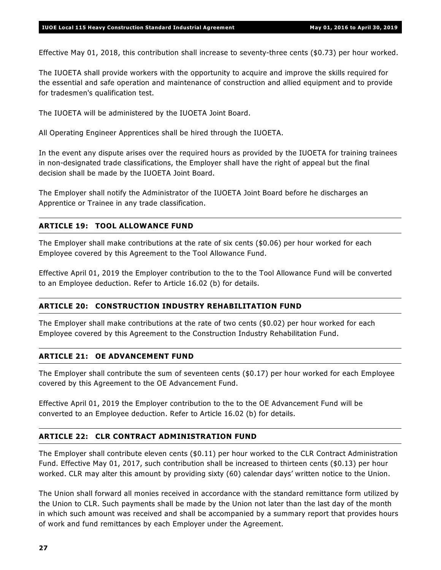Effective May 01, 2018, this contribution shall increase to seventy-three cents (\$0.73) per hour worked.

The IUOETA shall provide workers with the opportunity to acquire and improve the skills required for the essential and safe operation and maintenance of construction and allied equipment and to provide for tradesmen's qualification test.

The IUOETA will be administered by the IUOETA Joint Board.

All Operating Engineer Apprentices shall be hired through the IUOETA.

In the event any dispute arises over the required hours as provided by the IUOETA for training trainees in non-designated trade classifications, the Employer shall have the right of appeal but the final decision shall be made by the IUOETA Joint Board.

The Employer shall notify the Administrator of the IUOETA Joint Board before he discharges an Apprentice or Trainee in any trade classification.

### **ARTICLE 19: TOOL ALLOWANCE FUND**

The Employer shall make contributions at the rate of six cents (\$0.06) per hour worked for each Employee covered by this Agreement to the Tool Allowance Fund.

Effective April 01, 2019 the Employer contribution to the to the Tool Allowance Fund will be converted to an Employee deduction. Refer to Article 16.02 (b) for details.

### **ARTICLE 20: CONSTRUCTION INDUSTRY REHABILITATION FUND**

The Employer shall make contributions at the rate of two cents (\$0.02) per hour worked for each Employee covered by this Agreement to the Construction Industry Rehabilitation Fund.

### **ARTICLE 21: OE ADVANCEMENT FUND**

The Employer shall contribute the sum of seventeen cents (\$0.17) per hour worked for each Employee covered by this Agreement to the OE Advancement Fund.

Effective April 01, 2019 the Employer contribution to the to the OE Advancement Fund will be converted to an Employee deduction. Refer to Article 16.02 (b) for details.

### **ARTICLE 22: CLR CONTRACT ADMINISTRATION FUND**

The Employer shall contribute eleven cents (\$0.11) per hour worked to the CLR Contract Administration Fund. Effective May 01, 2017, such contribution shall be increased to thirteen cents (\$0.13) per hour worked. CLR may alter this amount by providing sixty (60) calendar days' written notice to the Union.

The Union shall forward all monies received in accordance with the standard remittance form utilized by the Union to CLR. Such payments shall be made by the Union not later than the last day of the month in which such amount was received and shall be accompanied by a summary report that provides hours of work and fund remittances by each Employer under the Agreement.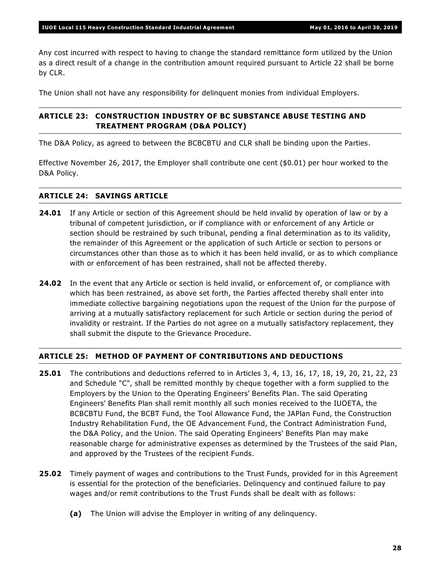Any cost incurred with respect to having to change the standard remittance form utilized by the Union as a direct result of a change in the contribution amount required pursuant to Article 22 shall be borne by CLR.

The Union shall not have any responsibility for delinquent monies from individual Employers.

### **ARTICLE 23: CONSTRUCTION INDUSTRY OF BC SUBSTANCE ABUSE TESTING AND TREATMENT PROGRAM (D&A POLICY)**

The D&A Policy, as agreed to between the BCBCBTU and CLR shall be binding upon the Parties.

Effective November 26, 2017, the Employer shall contribute one cent (\$0.01) per hour worked to the D&A Policy.

### **ARTICLE 24: SAVINGS ARTICLE**

- **24.01** If any Article or section of this Agreement should be held invalid by operation of law or by a tribunal of competent jurisdiction, or if compliance with or enforcement of any Article or section should be restrained by such tribunal, pending a final determination as to its validity, the remainder of this Agreement or the application of such Article or section to persons or circumstances other than those as to which it has been held invalid, or as to which compliance with or enforcement of has been restrained, shall not be affected thereby.
- **24.02** In the event that any Article or section is held invalid, or enforcement of, or compliance with which has been restrained, as above set forth, the Parties affected thereby shall enter into immediate collective bargaining negotiations upon the request of the Union for the purpose of arriving at a mutually satisfactory replacement for such Article or section during the period of invalidity or restraint. If the Parties do not agree on a mutually satisfactory replacement, they shall submit the dispute to the Grievance Procedure.

### **ARTICLE 25: METHOD OF PAYMENT OF CONTRIBUTIONS AND DEDUCTIONS**

- **25.01** The contributions and deductions referred to in Articles 3, 4, 13, 16, 17, 18, 19, 20, 21, 22, 23 and Schedule "C", shall be remitted monthly by cheque together with a form supplied to the Employers by the Union to the Operating Engineers' Benefits Plan. The said Operating Engineers' Benefits Plan shall remit monthly all such monies received to the IUOETA, the BCBCBTU Fund, the BCBT Fund, the Tool Allowance Fund, the JAPlan Fund, the Construction Industry Rehabilitation Fund, the OE Advancement Fund, the Contract Administration Fund, the D&A Policy, and the Union. The said Operating Engineers' Benefits Plan may make reasonable charge for administrative expenses as determined by the Trustees of the said Plan, and approved by the Trustees of the recipient Funds.
- **25.02** Timely payment of wages and contributions to the Trust Funds, provided for in this Agreement is essential for the protection of the beneficiaries. Delinquency and continued failure to pay wages and/or remit contributions to the Trust Funds shall be dealt with as follows:
	- **(a)** The Union will advise the Employer in writing of any delinquency.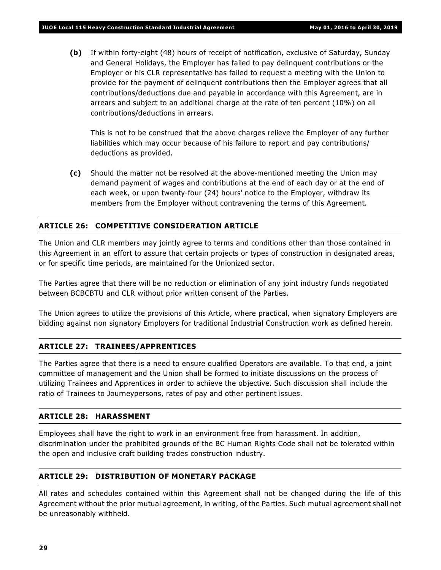**(b)** If within forty-eight (48) hours of receipt of notification, exclusive of Saturday, Sunday and General Holidays, the Employer has failed to pay delinquent contributions or the Employer or his CLR representative has failed to request a meeting with the Union to provide for the payment of delinquent contributions then the Employer agrees that all contributions/deductions due and payable in accordance with this Agreement, are in arrears and subject to an additional charge at the rate of ten percent (10%) on all contributions/deductions in arrears.

This is not to be construed that the above charges relieve the Employer of any further liabilities which may occur because of his failure to report and pay contributions/ deductions as provided.

**(c)** Should the matter not be resolved at the above-mentioned meeting the Union may demand payment of wages and contributions at the end of each day or at the end of each week, or upon twenty-four (24) hours' notice to the Employer, withdraw its members from the Employer without contravening the terms of this Agreement.

### **ARTICLE 26: COMPETITIVE CONSIDERATION ARTICLE**

The Union and CLR members may jointly agree to terms and conditions other than those contained in this Agreement in an effort to assure that certain projects or types of construction in designated areas, or for specific time periods, are maintained for the Unionized sector.

The Parties agree that there will be no reduction or elimination of any joint industry funds negotiated between BCBCBTU and CLR without prior written consent of the Parties.

The Union agrees to utilize the provisions of this Article, where practical, when signatory Employers are bidding against non signatory Employers for traditional Industrial Construction work as defined herein.

### **ARTICLE 27: TRAINEES/APPRENTICES**

The Parties agree that there is a need to ensure qualified Operators are available. To that end, a joint committee of management and the Union shall be formed to initiate discussions on the process of utilizing Trainees and Apprentices in order to achieve the objective. Such discussion shall include the ratio of Trainees to Journeypersons, rates of pay and other pertinent issues.

### **ARTICLE 28: HARASSMENT**

Employees shall have the right to work in an environment free from harassment. In addition, discrimination under the prohibited grounds of the *BC Human Rights Code* shall not be tolerated within the open and inclusive craft building trades construction industry.

### **ARTICLE 29: DISTRIBUTION OF MONETARY PACKAGE**

All rates and schedules contained within this Agreement shall not be changed during the life of this Agreement without the prior mutual agreement, in writing, of the Parties. Such mutual agreement shall not be unreasonably withheld.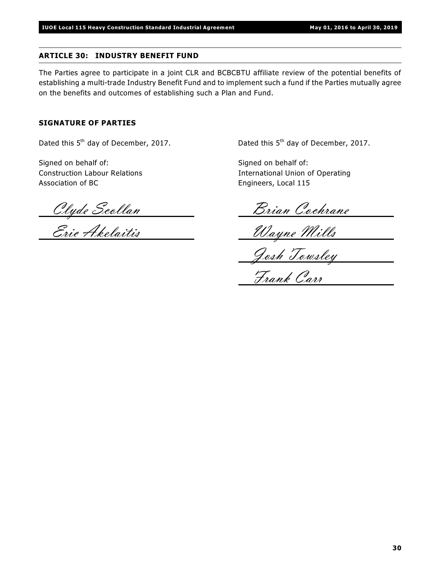### **ARTICLE 30: INDUSTRY BENEFIT FUND**

The Parties agree to participate in a joint CLR and BCBCBTU affiliate review of the potential benefits of establishing a multi-trade Industry Benefit Fund and to implement such a fund if the Parties mutually agree on the benefits and outcomes of establishing such a Plan and Fund.

### **SIGNATURE OF PARTIES**

Dated this  $5<sup>th</sup>$  day of December, 2017.  $Dated this 5<sup>th</sup> day of December, 2017.$ 

Signed on behalf of: Signed on behalf of: Association of BC **Engineers**, Local 115

Construction Labour Relations International Union of Operating

Clyde Scollan <u>Dian Cochrane</u>

Eric Akelaitis Wayne Mills

Josh Towsley

Frank Carr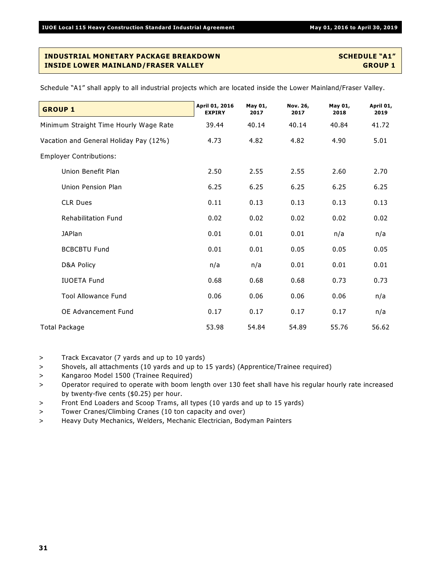| <b>GROUP 1</b>                         | April 01, 2016<br><b>EXPIRY</b> | May 01,<br>2017 | Nov. 26,<br>2017 | May 01,<br>2018 | April 01,<br>2019 |
|----------------------------------------|---------------------------------|-----------------|------------------|-----------------|-------------------|
| Minimum Straight Time Hourly Wage Rate | 39.44                           | 40.14           | 40.14            | 40.84           | 41.72             |
| Vacation and General Holiday Pay (12%) | 4.73                            | 4.82            | 4.82             | 4.90            | 5.01              |
| <b>Employer Contributions:</b>         |                                 |                 |                  |                 |                   |
| Union Benefit Plan                     | 2.50                            | 2.55            | 2.55             | 2.60            | 2.70              |
| Union Pension Plan                     | 6.25                            | 6.25            | 6.25             | 6.25            | 6.25              |
| <b>CLR Dues</b>                        | 0.11                            | 0.13            | 0.13             | 0.13            | 0.13              |
| <b>Rehabilitation Fund</b>             | 0.02                            | 0.02            | 0.02             | 0.02            | 0.02              |
| <b>JAPlan</b>                          | 0.01                            | 0.01            | 0.01             | n/a             | n/a               |
| <b>BCBCBTU Fund</b>                    | 0.01                            | 0.01            | 0.05             | 0.05            | 0.05              |
| D&A Policy                             | n/a                             | n/a             | 0.01             | 0.01            | 0.01              |
| <b>IUOETA Fund</b>                     | 0.68                            | 0.68            | 0.68             | 0.73            | 0.73              |
| <b>Tool Allowance Fund</b>             | 0.06                            | 0.06            | 0.06             | 0.06            | n/a               |
| OE Advancement Fund                    | 0.17                            | 0.17            | 0.17             | 0.17            | n/a               |
| <b>Total Package</b>                   | 53.98                           | 54.84           | 54.89            | 55.76           | 56.62             |

Schedule "A1" shall apply to all industrial projects which are located inside the Lower Mainland/Fraser Valley.

> Track Excavator (7 yards and up to 10 yards)

- > Shovels, all attachments (10 yards and up to 15 yards) (Apprentice/Trainee required)
- > Kangaroo Model 1500 (Trainee Required)
- > Operator required to operate with boom length over 130 feet shall have his regular hourly rate increased by twenty-five cents (\$0.25) per hour.
- > Front End Loaders and Scoop Trams, all types (10 yards and up to 15 yards)
- > Tower Cranes/Climbing Cranes (10 ton capacity and over)
- > Heavy Duty Mechanics, Welders, Mechanic Electrician, Bodyman Painters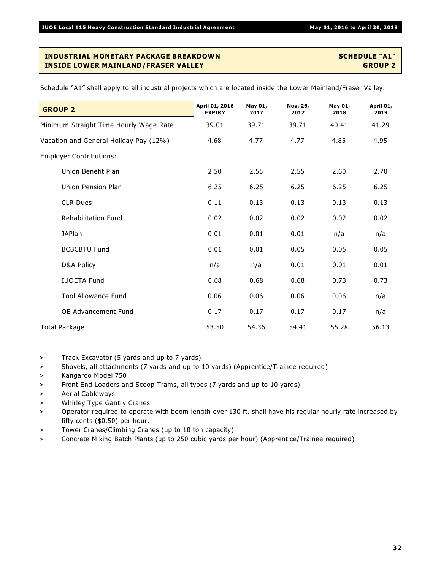**GROUP 2 April 01, 2016 EXPIRY May 01, 2017 Nov. 26, 2017 May 01, 2018 April 01, 2019** Minimum Straight Time Hourly Wage Rate 39.01 39.71 39.71 40.41 41.29 Vacation and General Holiday Pay (12%) 4.68 4.77 4.77 4.85 4.95 Employer Contributions: Union Benefit Plan 2.50 2.55 2.55 2.60 2.70 Union Pension Plan 6.25 6.25 6.25 6.25 6.25 CLR Dues 0.11 0.13 0.13 0.13 0.13 Rehabilitation Fund 0.02 0.02 0.02 0.02 0.02 JAPlan 0.01 0.01 0.01 n/a n/a BCBCBTU Fund  $0.01$   $0.01$   $0.05$   $0.05$   $0.05$ D&A Policy n/a n/a 0.01 0.01 0.01 IUOETA Fund 0.68 0.68 0.68 0.73 0.73 Tool Allowance Fund 0.06 0.06 0.06 0.06 n/a OE Advancement Fund 0.17 0.17 0.17 0.17 n/a Total Package 53.50 54.36 54.41 55.28 56.13

Schedule "A1" shall apply to all industrial projects which are located inside the Lower Mainland/Fraser Valley.

> Track Excavator (5 yards and up to 7 yards)

> Shovels, all attachments (7 yards and up to 10 yards) (Apprentice/Trainee required)

- > Kangaroo Model 750
- > Front End Loaders and Scoop Trams, all types (7 yards and up to 10 yards)
- > Aerial Cableways
- > Whirley Type Gantry Cranes

> Operator required to operate with boom length over 130 ft. shall have his regular hourly rate increased by fifty cents (\$0.50) per hour.

- > Tower Cranes/Climbing Cranes (up to 10 ton capacity)
- > Concrete Mixing Batch Plants (up to 250 cubic yards per hour) (Apprentice/Trainee required)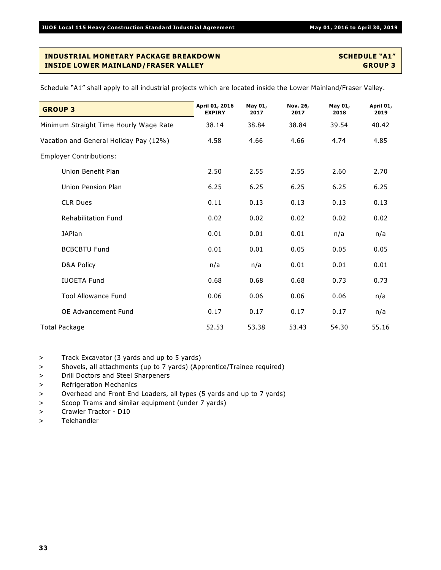| <b>GROUP 3</b>                         | April 01, 2016<br><b>EXPIRY</b> | May 01,<br>2017 | Nov. 26,<br>2017 | May 01,<br>2018 | April 01,<br>2019 |
|----------------------------------------|---------------------------------|-----------------|------------------|-----------------|-------------------|
| Minimum Straight Time Hourly Wage Rate | 38.14                           | 38.84           | 38.84            | 39.54           | 40.42             |
| Vacation and General Holiday Pay (12%) | 4.58                            | 4.66            | 4.66             | 4.74            | 4.85              |
| <b>Employer Contributions:</b>         |                                 |                 |                  |                 |                   |
| Union Benefit Plan                     | 2.50                            | 2.55            | 2.55             | 2.60            | 2.70              |
| Union Pension Plan                     | 6.25                            | 6.25            | 6.25             | 6.25            | 6.25              |
| <b>CLR Dues</b>                        | 0.11                            | 0.13            | 0.13             | 0.13            | 0.13              |
| <b>Rehabilitation Fund</b>             | 0.02                            | 0.02            | 0.02             | 0.02            | 0.02              |
| <b>JAPlan</b>                          | 0.01                            | 0.01            | 0.01             | n/a             | n/a               |
| <b>BCBCBTU Fund</b>                    | 0.01                            | 0.01            | 0.05             | 0.05            | 0.05              |
| D&A Policy                             | n/a                             | n/a             | 0.01             | 0.01            | 0.01              |
| <b>IUOETA Fund</b>                     | 0.68                            | 0.68            | 0.68             | 0.73            | 0.73              |
| <b>Tool Allowance Fund</b>             | 0.06                            | 0.06            | 0.06             | 0.06            | n/a               |
| OE Advancement Fund                    | 0.17                            | 0.17            | 0.17             | 0.17            | n/a               |
| Total Package                          | 52.53                           | 53.38           | 53.43            | 54.30           | 55.16             |

Schedule "A1" shall apply to all industrial projects which are located inside the Lower Mainland/Fraser Valley.

> Track Excavator (3 yards and up to 5 yards)

- > Shovels, all attachments (up to 7 yards) (Apprentice/Trainee required)
- > Drill Doctors and Steel Sharpeners
- > Refrigeration Mechanics
- > Overhead and Front End Loaders, all types (5 yards and up to 7 yards)
- > Scoop Trams and similar equipment (under 7 yards)
- > Crawler Tractor D10
- > Telehandler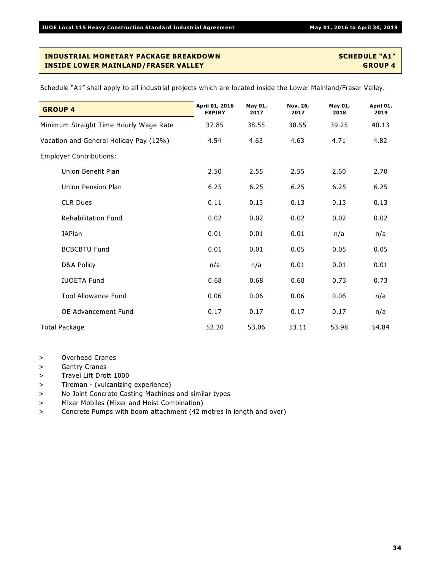| <b>GROUP 4</b>                         | April 01, 2016<br><b>EXPIRY</b> | May 01,<br>2017 | Nov. 26,<br>2017 | May 01,<br>2018 | April 01,<br>2019 |
|----------------------------------------|---------------------------------|-----------------|------------------|-----------------|-------------------|
| Minimum Straight Time Hourly Wage Rate | 37.85                           | 38.55           | 38.55            | 39.25           | 40.13             |
| Vacation and General Holiday Pay (12%) | 4.54                            | 4.63            | 4.63             | 4.71            | 4.82              |
| <b>Employer Contributions:</b>         |                                 |                 |                  |                 |                   |
| Union Benefit Plan                     | 2.50                            | 2.55            | 2.55             | 2.60            | 2.70              |
| Union Pension Plan                     | 6.25                            | 6.25            | 6.25             | 6.25            | 6.25              |
| <b>CLR Dues</b>                        | 0.11                            | 0.13            | 0.13             | 0.13            | 0.13              |
| <b>Rehabilitation Fund</b>             | 0.02                            | 0.02            | 0.02             | 0.02            | 0.02              |
| <b>JAPlan</b>                          | 0.01                            | 0.01            | 0.01             | n/a             | n/a               |
| <b>BCBCBTU Fund</b>                    | 0.01                            | 0.01            | 0.05             | 0.05            | 0.05              |
| D&A Policy                             | n/a                             | n/a             | 0.01             | 0.01            | 0.01              |
| <b>IUOETA Fund</b>                     | 0.68                            | 0.68            | 0.68             | 0.73            | 0.73              |
| <b>Tool Allowance Fund</b>             | 0.06                            | 0.06            | 0.06             | 0.06            | n/a               |
| OE Advancement Fund                    | 0.17                            | 0.17            | 0.17             | 0.17            | n/a               |
| <b>Total Package</b>                   | 52.20                           | 53.06           | 53.11            | 53.98           | 54.84             |

- > Overhead Cranes
- > Gantry Cranes
- > Travel Lift Drott 1000
- > Tireman (vulcanizing experience)
- > No Joint Concrete Casting Machines and similar types
- > Mixer Mobiles (Mixer and Hoist Combination)
- > Concrete Pumps with boom attachment (42 metres in length and over)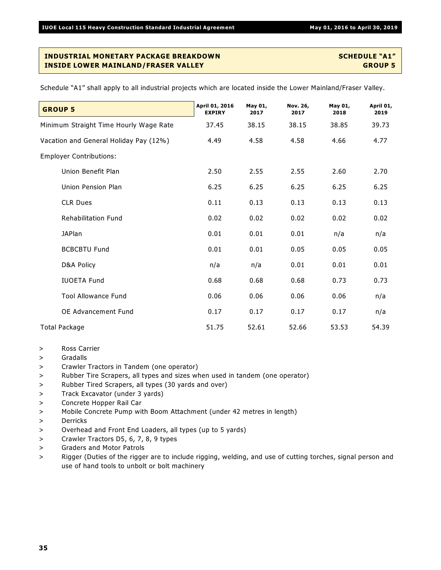| <b>GROUP 5</b>                         | April 01, 2016<br><b>EXPIRY</b> | May 01,<br>2017 | Nov. 26,<br>2017 | May 01,<br>2018 | April 01,<br>2019 |
|----------------------------------------|---------------------------------|-----------------|------------------|-----------------|-------------------|
| Minimum Straight Time Hourly Wage Rate | 37.45                           | 38.15           | 38.15            | 38.85           | 39.73             |
| Vacation and General Holiday Pay (12%) | 4.49                            | 4.58            | 4.58             | 4.66            | 4.77              |
| <b>Employer Contributions:</b>         |                                 |                 |                  |                 |                   |
| Union Benefit Plan                     | 2.50                            | 2.55            | 2.55             | 2.60            | 2.70              |
| Union Pension Plan                     | 6.25                            | 6.25            | 6.25             | 6.25            | 6.25              |
| <b>CLR Dues</b>                        | 0.11                            | 0.13            | 0.13             | 0.13            | 0.13              |
| <b>Rehabilitation Fund</b>             | 0.02                            | 0.02            | 0.02             | 0.02            | 0.02              |
| <b>JAPlan</b>                          | 0.01                            | 0.01            | 0.01             | n/a             | n/a               |
| <b>BCBCBTU Fund</b>                    | 0.01                            | 0.01            | 0.05             | 0.05            | 0.05              |
| D&A Policy                             | n/a                             | n/a             | 0.01             | 0.01            | 0.01              |
| <b>IUOETA Fund</b>                     | 0.68                            | 0.68            | 0.68             | 0.73            | 0.73              |
| <b>Tool Allowance Fund</b>             | 0.06                            | 0.06            | 0.06             | 0.06            | n/a               |
| OE Advancement Fund                    | 0.17                            | 0.17            | 0.17             | 0.17            | n/a               |
| <b>Total Package</b>                   | 51.75                           | 52.61           | 52.66            | 53.53           | 54.39             |

- > Ross Carrier
- > Gradalls
- > Crawler Tractors in Tandem (one operator)
- > Rubber Tire Scrapers, all types and sizes when used in tandem (one operator)
- > Rubber Tired Scrapers, all types (30 yards and over)
- > Track Excavator (under 3 yards)
- > Concrete Hopper Rail Car
- > Mobile Concrete Pump with Boom Attachment (under 42 metres in length)
- > Derricks
- > Overhead and Front End Loaders, all types (up to 5 yards)
- > Crawler Tractors D5, 6, 7, 8, 9 types
- > Graders and Motor Patrols
- > Rigger (Duties of the rigger are to include rigging, welding, and use of cutting torches, signal person and use of hand tools to unbolt or bolt machinery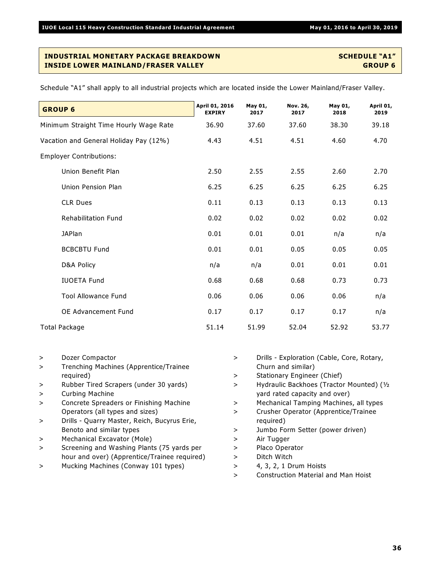| <b>GROUP 6</b>                         | April 01, 2016<br><b>EXPIRY</b> | May 01,<br>2017<br>37.60 | Nov. 26,<br>2017<br>37.60<br>4.51 | May 01,<br>2018<br>38.30<br>4.60 | April 01,<br>2019<br>39.18<br>4.70 |
|----------------------------------------|---------------------------------|--------------------------|-----------------------------------|----------------------------------|------------------------------------|
| Minimum Straight Time Hourly Wage Rate | 36.90                           |                          |                                   |                                  |                                    |
| Vacation and General Holiday Pay (12%) | 4.43                            | 4.51                     |                                   |                                  |                                    |
| <b>Employer Contributions:</b>         |                                 |                          |                                   |                                  |                                    |
| Union Benefit Plan                     | 2.50                            | 2.55                     | 2.55                              | 2.60                             | 2.70                               |
| Union Pension Plan                     | 6.25                            | 6.25                     | 6.25                              | 6.25                             | 6.25                               |
| <b>CLR Dues</b>                        | 0.11                            | 0.13                     | 0.13                              | 0.13                             | 0.13                               |
| <b>Rehabilitation Fund</b>             | 0.02                            | 0.02                     | 0.02                              | 0.02                             | 0.02                               |
| <b>JAPlan</b>                          | 0.01                            | 0.01                     | 0.01                              | n/a                              | n/a                                |
| <b>BCBCBTU Fund</b>                    | 0.01                            | 0.01                     | 0.05                              | 0.05                             | 0.05                               |
| D&A Policy                             | n/a                             | n/a                      | 0.01                              | 0.01                             | 0.01                               |
| <b>IUOETA Fund</b>                     | 0.68                            | 0.68                     | 0.68                              | 0.73                             | 0.73                               |
| <b>Tool Allowance Fund</b>             | 0.06                            | 0.06                     | 0.06                              | 0.06                             | n/a                                |
| OE Advancement Fund                    | 0.17                            | 0.17                     | 0.17                              | 0.17                             | n/a                                |
| Total Package                          | 51.14                           | 51.99                    | 52.04                             | 52.92                            | 53.77                              |

- > Dozer Compactor
- > Trenching Machines (Apprentice/Trainee required)
- > Rubber Tired Scrapers (under 30 yards)
- > Curbing Machine
- > Concrete Spreaders or Finishing Machine Operators (all types and sizes)
- > Drills Quarry Master, Reich, Bucyrus Erie, Benoto and similar types
- > Mechanical Excavator (Mole)
- > Screening and Washing Plants (75 yards per hour and over) (Apprentice/Trainee required)
- > Mucking Machines (Conway 101 types)
- > Drills Exploration (Cable, Core, Rotary, Churn and similar)
- > Stationary Engineer (Chief)
- > Hydraulic Backhoes (Tractor Mounted) (½ yard rated capacity and over)
- > Mechanical Tamping Machines, all types
- > Crusher Operator (Apprentice/Trainee required)
- > Jumbo Form Setter (power driven)
- > Air Tugger
- > Placo Operator
- > Ditch Witch
- > 4, 3, 2, 1 Drum Hoists
- > Construction Material and Man Hoist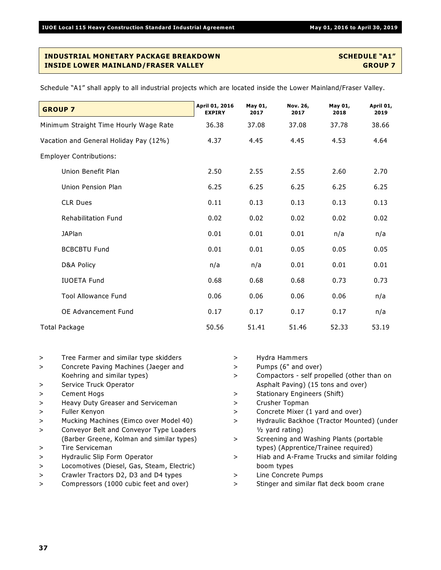| <b>GROUP 7</b>                         | April 01, 2016<br><b>EXPIRY</b> | May 01,<br>2017 | Nov. 26,<br>2017 | May 01,<br>2018 | April 01,<br>2019 |
|----------------------------------------|---------------------------------|-----------------|------------------|-----------------|-------------------|
| Minimum Straight Time Hourly Wage Rate | 36.38                           | 37.08           | 37.08            | 37.78           | 38.66             |
| Vacation and General Holiday Pay (12%) | 4.37                            | 4.45            | 4.45             | 4.53            | 4.64              |
| <b>Employer Contributions:</b>         |                                 |                 |                  |                 |                   |
| Union Benefit Plan                     | 2.50                            | 2.55            | 2.55             | 2.60            | 2.70              |
| Union Pension Plan                     | 6.25                            | 6.25            | 6.25             | 6.25            | 6.25              |
| <b>CLR Dues</b>                        | 0.11                            | 0.13            | 0.13             | 0.13            | 0.13              |
| <b>Rehabilitation Fund</b>             | 0.02                            | 0.02            | 0.02             | 0.02            | 0.02              |
| <b>JAPlan</b>                          | 0.01                            | 0.01            | 0.01             | n/a             | n/a               |
| <b>BCBCBTU Fund</b>                    | 0.01                            | 0.01            | 0.05             | 0.05            | 0.05              |
| D&A Policy                             | n/a                             | n/a             | 0.01             | 0.01            | 0.01              |
| <b>IUOETA Fund</b>                     | 0.68                            | 0.68            | 0.68             | 0.73            | 0.73              |
| <b>Tool Allowance Fund</b>             | 0.06                            | 0.06            | 0.06             | 0.06            | n/a               |
| <b>OE Advancement Fund</b>             | 0.17                            | 0.17            | 0.17             | 0.17            | n/a               |
| Total Package                          | 50.56                           | 51.41           | 51.46            | 52.33           | 53.19             |

| Tree Farmer and similar type skidders |
|---------------------------------------|
|                                       |

- > Concrete Paving Machines (Jaeger and Koehring and similar types)
- > Service Truck Operator
- > Cement Hogs
- > Heavy Duty Greaser and Serviceman
- > Fuller Kenyon
- > Mucking Machines (Eimco over Model 40)
- > Conveyor Belt and Conveyor Type Loaders (Barber Greene, Kolman and similar types)
- > Tire Serviceman
- > Hydraulic Slip Form Operator
- > Locomotives (Diesel, Gas, Steam, Electric)
- > Crawler Tractors D2, D3 and D4 types
- > Compressors (1000 cubic feet and over)
- > Hydra Hammers
- > Pumps (6" and over)
- > Compactors self propelled (other than on Asphalt Paving) (15 tons and over)
- > Stationary Engineers (Shift)
- > Crusher Topman
- > Concrete Mixer (1 yard and over)
- > Hydraulic Backhoe (Tractor Mounted) (under ½ yard rating)
- > Screening and Washing Plants (portable types) (Apprentice/Trainee required)
- > Hiab and A-Frame Trucks and similar folding boom types
- > Line Concrete Pumps
- > Stinger and similar flat deck boom crane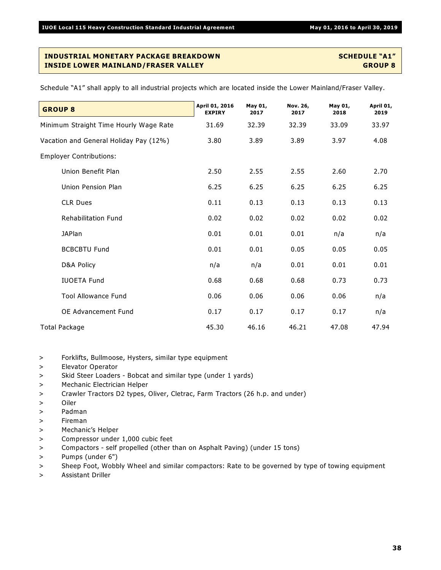| <b>GROUP 8</b>                         | April 01, 2016<br><b>EXPIRY</b> | May 01,<br>2017 | Nov. 26,<br>2017 | May 01,<br>2018 | April 01,<br>2019 |
|----------------------------------------|---------------------------------|-----------------|------------------|-----------------|-------------------|
| Minimum Straight Time Hourly Wage Rate | 31.69                           | 32.39           | 32.39            | 33.09           | 33.97             |
| Vacation and General Holiday Pay (12%) | 3.80                            | 3.89            | 3.89             | 3.97            | 4.08              |
| <b>Employer Contributions:</b>         |                                 |                 |                  |                 |                   |
| Union Benefit Plan                     | 2.50                            | 2.55            | 2.55             | 2.60            | 2.70              |
| Union Pension Plan                     | 6.25                            | 6.25            | 6.25             | 6.25            | 6.25              |
| <b>CLR Dues</b>                        | 0.11                            | 0.13            | 0.13             | 0.13            | 0.13              |
| <b>Rehabilitation Fund</b>             | 0.02                            | 0.02            | 0.02             | 0.02            | 0.02              |
| <b>JAPlan</b>                          | 0.01                            | 0.01            | 0.01             | n/a             | n/a               |
| <b>BCBCBTU Fund</b>                    | 0.01                            | 0.01            | 0.05             | 0.05            | 0.05              |
| D&A Policy                             | n/a                             | n/a             | 0.01             | 0.01            | 0.01              |
| <b>IUOETA Fund</b>                     | 0.68                            | 0.68            | 0.68             | 0.73            | 0.73              |
| <b>Tool Allowance Fund</b>             | 0.06                            | 0.06            | 0.06             | 0.06            | n/a               |
| OE Advancement Fund                    | 0.17                            | 0.17            | 0.17             | 0.17            | n/a               |
| <b>Total Package</b>                   | 45.30                           | 46.16           | 46.21            | 47.08           | 47.94             |

- > Forklifts, Bullmoose, Hysters, similar type equipment
- > Elevator Operator
- > Skid Steer Loaders Bobcat and similar type (under 1 yards)
- > Mechanic Electrician Helper
- > Crawler Tractors D2 types, Oliver, Cletrac, Farm Tractors (26 h.p. and under)
- > Oiler
- > Padman
- > Fireman
- > Mechanic's Helper
- > Compressor under 1,000 cubic feet
- > Compactors self propelled (other than on Asphalt Paving) (under 15 tons)
- > Pumps (under 6")
- > Sheep Foot, Wobbly Wheel and similar compactors: Rate to be governed by type of towing equipment
- > Assistant Driller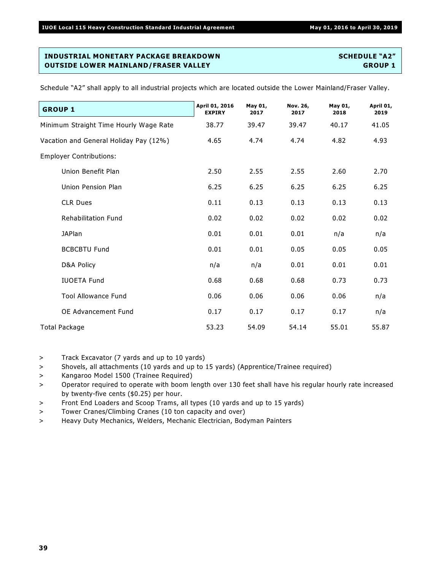| <b>GROUP 1</b>                         | April 01, 2016<br><b>EXPIRY</b> | May 01,<br>2017 | Nov. 26,<br>2017 | May 01,<br>2018 | April 01,<br>2019 |
|----------------------------------------|---------------------------------|-----------------|------------------|-----------------|-------------------|
| Minimum Straight Time Hourly Wage Rate | 38.77                           | 39.47           | 39.47            | 40.17           | 41.05             |
| Vacation and General Holiday Pay (12%) | 4.65                            | 4.74            | 4.74             | 4.82            | 4.93              |
| <b>Employer Contributions:</b>         |                                 |                 |                  |                 |                   |
| Union Benefit Plan                     | 2.50                            | 2.55            | 2.55             | 2.60            | 2.70              |
| Union Pension Plan                     | 6.25                            | 6.25            | 6.25             | 6.25            | 6.25              |
| <b>CLR Dues</b>                        | 0.11                            | 0.13            | 0.13             | 0.13            | 0.13              |
| <b>Rehabilitation Fund</b>             | 0.02                            | 0.02            | 0.02             | 0.02            | 0.02              |
| <b>JAPlan</b>                          | 0.01                            | 0.01            | 0.01             | n/a             | n/a               |
| <b>BCBCBTU Fund</b>                    | 0.01                            | 0.01            | 0.05             | 0.05            | 0.05              |
| D&A Policy                             | n/a                             | n/a             | 0.01             | 0.01            | 0.01              |
| <b>IUOETA Fund</b>                     | 0.68                            | 0.68            | 0.68             | 0.73            | 0.73              |
| <b>Tool Allowance Fund</b>             | 0.06                            | 0.06            | 0.06             | 0.06            | n/a               |
| <b>OE Advancement Fund</b>             | 0.17                            | 0.17            | 0.17             | 0.17            | n/a               |
| <b>Total Package</b>                   | 53.23                           | 54.09           | 54.14            | 55.01           | 55.87             |

Schedule "A2" shall apply to all industrial projects which are located outside the Lower Mainland/Fraser Valley.

> Track Excavator (7 yards and up to 10 yards)

- > Shovels, all attachments (10 yards and up to 15 yards) (Apprentice/Trainee required)
- > Kangaroo Model 1500 (Trainee Required)
- > Operator required to operate with boom length over 130 feet shall have his regular hourly rate increased by twenty-five cents (\$0.25) per hour.
- > Front End Loaders and Scoop Trams, all types (10 yards and up to 15 yards)
- > Tower Cranes/Climbing Cranes (10 ton capacity and over)
- > Heavy Duty Mechanics, Welders, Mechanic Electrician, Bodyman Painters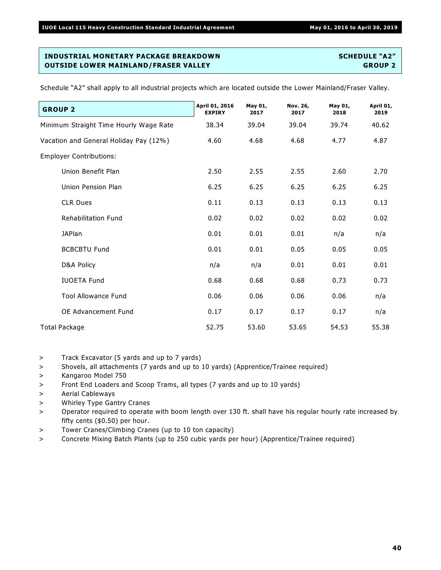| <b>GROUP 2</b>                         | April 01, 2016<br><b>EXPIRY</b> | May 01,<br>2017 | Nov. 26,<br>2017 | May 01,<br>2018 | April 01,<br>2019 |
|----------------------------------------|---------------------------------|-----------------|------------------|-----------------|-------------------|
| Minimum Straight Time Hourly Wage Rate | 38.34                           | 39.04           | 39.04            | 39.74           | 40.62             |
| Vacation and General Holiday Pay (12%) | 4.60                            | 4.68            | 4.68             | 4.77            | 4.87              |
| <b>Employer Contributions:</b>         |                                 |                 |                  |                 |                   |
| Union Benefit Plan                     | 2.50                            | 2.55            | 2.55             | 2.60            | 2.70              |
| Union Pension Plan                     | 6.25                            | 6.25            | 6.25             | 6.25            | 6.25              |
| <b>CLR Dues</b>                        | 0.11                            | 0.13            | 0.13             | 0.13            | 0.13              |
| <b>Rehabilitation Fund</b>             | 0.02                            | 0.02            | 0.02             | 0.02            | 0.02              |
| <b>JAPlan</b>                          | 0.01                            | 0.01            | 0.01             | n/a             | n/a               |
| <b>BCBCBTU Fund</b>                    | 0.01                            | 0.01            | 0.05             | 0.05            | 0.05              |
| D&A Policy                             | n/a                             | n/a             | 0.01             | 0.01            | 0.01              |
| <b>IUOETA Fund</b>                     | 0.68                            | 0.68            | 0.68             | 0.73            | 0.73              |
| <b>Tool Allowance Fund</b>             | 0.06                            | 0.06            | 0.06             | 0.06            | n/a               |
| OE Advancement Fund                    | 0.17                            | 0.17            | 0.17             | 0.17            | n/a               |
| <b>Total Package</b>                   | 52.75                           | 53.60           | 53.65            | 54.53           | 55.38             |

Schedule "A2" shall apply to all industrial projects which are located outside the Lower Mainland/Fraser Valley.

> Track Excavator (5 yards and up to 7 yards)

- > Shovels, all attachments (7 yards and up to 10 yards) (Apprentice/Trainee required)
- > Kangaroo Model 750
- > Front End Loaders and Scoop Trams, all types (7 yards and up to 10 yards)
- > Aerial Cableways
- > Whirley Type Gantry Cranes
- > Operator required to operate with boom length over 130 ft. shall have his regular hourly rate increased by fifty cents (\$0.50) per hour.
- > Tower Cranes/Climbing Cranes (up to 10 ton capacity)
- > Concrete Mixing Batch Plants (up to 250 cubic yards per hour) (Apprentice/Trainee required)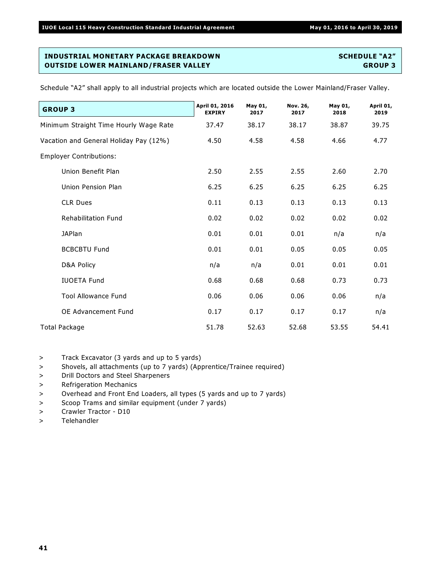Schedule "A2" shall apply to all industrial projects which are located outside the Lower Mainland/Fraser Valley.

| <b>GROUP 3</b>                         | April 01, 2016<br><b>EXPIRY</b> | May 01,<br>2017 | Nov. 26,<br>2017 | May 01,<br>2018 | April 01,<br>2019 |
|----------------------------------------|---------------------------------|-----------------|------------------|-----------------|-------------------|
| Minimum Straight Time Hourly Wage Rate | 37.47                           | 38.17           | 38.17            | 38.87           | 39.75             |
| Vacation and General Holiday Pay (12%) | 4.50                            | 4.58            | 4.58             | 4.66            | 4.77              |
| <b>Employer Contributions:</b>         |                                 |                 |                  |                 |                   |
| Union Benefit Plan                     | 2.50                            | 2.55            | 2.55             | 2.60            | 2.70              |
| Union Pension Plan                     | 6.25                            | 6.25            | 6.25             | 6.25            | 6.25              |
| <b>CLR Dues</b>                        | 0.11                            | 0.13            | 0.13             | 0.13            | 0.13              |
| <b>Rehabilitation Fund</b>             | 0.02                            | 0.02            | 0.02             | 0.02            | 0.02              |
| <b>JAPlan</b>                          | 0.01                            | 0.01            | 0.01             | n/a             | n/a               |
| <b>BCBCBTU Fund</b>                    | 0.01                            | 0.01            | 0.05             | 0.05            | 0.05              |
| D&A Policy                             | n/a                             | n/a             | 0.01             | 0.01            | 0.01              |
| <b>IUOETA Fund</b>                     | 0.68                            | 0.68            | 0.68             | 0.73            | 0.73              |
| <b>Tool Allowance Fund</b>             | 0.06                            | 0.06            | 0.06             | 0.06            | n/a               |
| OE Advancement Fund                    | 0.17                            | 0.17            | 0.17             | 0.17            | n/a               |
| <b>Total Package</b>                   | 51.78                           | 52.63           | 52.68            | 53.55           | 54.41             |

> Track Excavator (3 yards and up to 5 yards)

- > Shovels, all attachments (up to 7 yards) (Apprentice/Trainee required)
- > Drill Doctors and Steel Sharpeners
- > Refrigeration Mechanics
- > Overhead and Front End Loaders, all types (5 yards and up to 7 yards)
- > Scoop Trams and similar equipment (under 7 yards)
- > Crawler Tractor D10
- > Telehandler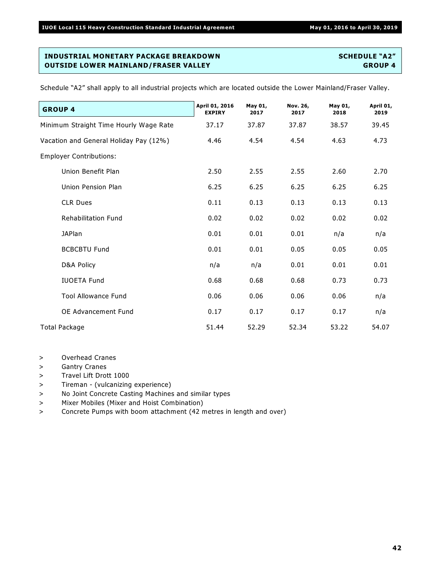| <b>GROUP 4</b>                         | April 01, 2016<br><b>EXPIRY</b> | May 01,<br>2017 | Nov. 26,<br>2017 | May 01,<br>2018 | April 01,<br>2019 |
|----------------------------------------|---------------------------------|-----------------|------------------|-----------------|-------------------|
| Minimum Straight Time Hourly Wage Rate | 37.17                           | 37.87           | 37.87            | 38.57           | 39.45             |
| Vacation and General Holiday Pay (12%) | 4.46                            | 4.54            | 4.54             | 4.63            | 4.73              |
| <b>Employer Contributions:</b>         |                                 |                 |                  |                 |                   |
| Union Benefit Plan                     | 2.50                            | 2.55            | 2.55             | 2.60            | 2.70              |
| Union Pension Plan                     | 6.25                            | 6.25            | 6.25             | 6.25            | 6.25              |
| <b>CLR Dues</b>                        | 0.11                            | 0.13            | 0.13             | 0.13            | 0.13              |
| <b>Rehabilitation Fund</b>             | 0.02                            | 0.02            | 0.02             | 0.02            | 0.02              |
| <b>JAPlan</b>                          | 0.01                            | 0.01            | 0.01             | n/a             | n/a               |
| <b>BCBCBTU Fund</b>                    | 0.01                            | 0.01            | 0.05             | 0.05            | 0.05              |
| D&A Policy                             | n/a                             | n/a             | 0.01             | 0.01            | 0.01              |
| <b>IUOETA Fund</b>                     | 0.68                            | 0.68            | 0.68             | 0.73            | 0.73              |
| <b>Tool Allowance Fund</b>             | 0.06                            | 0.06            | 0.06             | 0.06            | n/a               |
| OE Advancement Fund                    | 0.17                            | 0.17            | 0.17             | 0.17            | n/a               |
| Total Package                          | 51.44                           | 52.29           | 52.34            | 53.22           | 54.07             |

- > Overhead Cranes
- > Gantry Cranes
- > Travel Lift Drott 1000
- > Tireman (vulcanizing experience)
- > No Joint Concrete Casting Machines and similar types
- > Mixer Mobiles (Mixer and Hoist Combination)
- > Concrete Pumps with boom attachment (42 metres in length and over)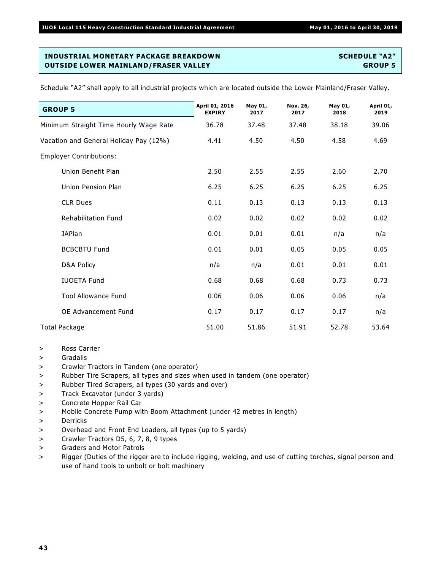| <b>GROUP 5</b>                         | April 01, 2016<br><b>EXPIRY</b> | May 01,<br>2017 | Nov. 26,<br>2017 | May 01,<br>2018 | April 01,<br>2019 |
|----------------------------------------|---------------------------------|-----------------|------------------|-----------------|-------------------|
| Minimum Straight Time Hourly Wage Rate | 36.78                           | 37.48           | 37.48            | 38.18           | 39.06             |
| Vacation and General Holiday Pay (12%) | 4.41                            | 4.50            | 4.50             | 4.58            | 4.69              |
| <b>Employer Contributions:</b>         |                                 |                 |                  |                 |                   |
| Union Benefit Plan                     | 2.50                            | 2.55            | 2.55             | 2.60            | 2.70              |
| Union Pension Plan                     | 6.25                            | 6.25            | 6.25             | 6.25            | 6.25              |
| <b>CLR Dues</b>                        | 0.11                            | 0.13            | 0.13             | 0.13            | 0.13              |
| <b>Rehabilitation Fund</b>             | 0.02                            | 0.02            | 0.02             | 0.02            | 0.02              |
| <b>JAPlan</b>                          | 0.01                            | 0.01            | 0.01             | n/a             | n/a               |
| <b>BCBCBTU Fund</b>                    | 0.01                            | 0.01            | 0.05             | 0.05            | 0.05              |
| D&A Policy                             | n/a                             | n/a             | 0.01             | 0.01            | 0.01              |
| <b>IUOETA Fund</b>                     | 0.68                            | 0.68            | 0.68             | 0.73            | 0.73              |
| <b>Tool Allowance Fund</b>             | 0.06                            | 0.06            | 0.06             | 0.06            | n/a               |
| OE Advancement Fund                    | 0.17                            | 0.17            | 0.17             | 0.17            | n/a               |
| <b>Total Package</b>                   | 51.00                           | 51.86           | 51.91            | 52.78           | 53.64             |

- > Ross Carrier
- > Gradalls
- > Crawler Tractors in Tandem (one operator)
- > Rubber Tire Scrapers, all types and sizes when used in tandem (one operator)
- > Rubber Tired Scrapers, all types (30 yards and over)
- > Track Excavator (under 3 yards)
- > Concrete Hopper Rail Car
- > Mobile Concrete Pump with Boom Attachment (under 42 metres in length)
- > Derricks
- > Overhead and Front End Loaders, all types (up to 5 yards)
- > Crawler Tractors D5, 6, 7, 8, 9 types
- > Graders and Motor Patrols
- > Rigger (Duties of the rigger are to include rigging, welding, and use of cutting torches, signal person and use of hand tools to unbolt or bolt machinery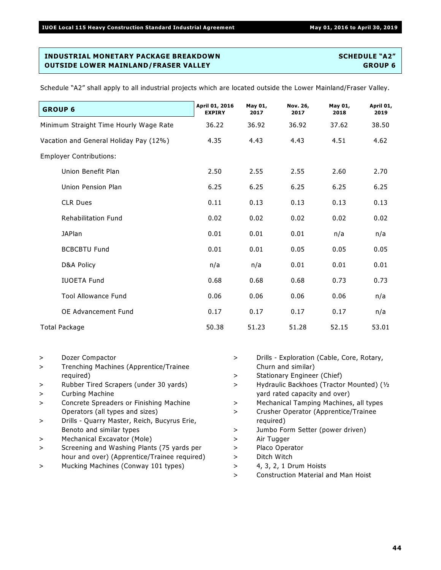| <b>GROUP 6</b>                         | April 01, 2016<br><b>EXPIRY</b> | May 01,<br>2017 | Nov. 26,<br>2017 | May 01,<br>2018 | April 01,<br>2019 |
|----------------------------------------|---------------------------------|-----------------|------------------|-----------------|-------------------|
| Minimum Straight Time Hourly Wage Rate | 36.22                           | 36.92           | 36.92            | 37.62           | 38.50             |
| Vacation and General Holiday Pay (12%) | 4.35                            | 4.43            | 4.43             | 4.51            | 4.62              |
| <b>Employer Contributions:</b>         |                                 |                 |                  |                 |                   |
| Union Benefit Plan                     | 2.50                            | 2.55            | 2.55             | 2.60            | 2.70              |
| Union Pension Plan                     | 6.25                            | 6.25            | 6.25             | 6.25            | 6.25              |
| <b>CLR Dues</b>                        | 0.11                            | 0.13            | 0.13             | 0.13            | 0.13              |
| <b>Rehabilitation Fund</b>             | 0.02                            | 0.02            | 0.02             | 0.02            | 0.02              |
| <b>JAPlan</b>                          | 0.01                            | 0.01            | 0.01             | n/a             | n/a               |
| <b>BCBCBTU Fund</b>                    | 0.01                            | 0.01            | 0.05             | 0.05            | 0.05              |
| D&A Policy                             | n/a                             | n/a             | 0.01             | 0.01            | 0.01              |
| <b>IUOETA Fund</b>                     | 0.68                            | 0.68            | 0.68             | 0.73            | 0.73              |
| <b>Tool Allowance Fund</b>             | 0.06                            | 0.06            | 0.06             | 0.06            | n/a               |
| OE Advancement Fund                    | 0.17                            | 0.17            | 0.17             | 0.17            | n/a               |
| Total Package                          | 50.38                           | 51.23           | 51.28            | 52.15           | 53.01             |

- > Dozer Compactor
- > Trenching Machines (Apprentice/Trainee required)
- > Rubber Tired Scrapers (under 30 yards)
- > Curbing Machine
- > Concrete Spreaders or Finishing Machine Operators (all types and sizes)
- > Drills Quarry Master, Reich, Bucyrus Erie, Benoto and similar types
- > Mechanical Excavator (Mole)
- > Screening and Washing Plants (75 yards per hour and over) (Apprentice/Trainee required)
- > Mucking Machines (Conway 101 types)
- > Drills Exploration (Cable, Core, Rotary, Churn and similar)
- > Stationary Engineer (Chief)
- > Hydraulic Backhoes (Tractor Mounted) (½ yard rated capacity and over)
- > Mechanical Tamping Machines, all types
- > Crusher Operator (Apprentice/Trainee required)
- > Jumbo Form Setter (power driven)
- > Air Tugger
- > Placo Operator
- > Ditch Witch
- > 4, 3, 2, 1 Drum Hoists
- > Construction Material and Man Hoist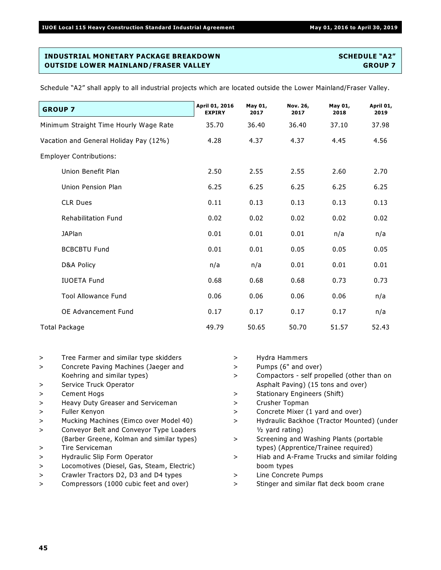| <b>GROUP 7</b>                         | April 01, 2016<br><b>EXPIRY</b> | May 01,<br>2017 | Nov. 26,<br>2017 | May 01,<br>2018 | April 01,<br>2019 |
|----------------------------------------|---------------------------------|-----------------|------------------|-----------------|-------------------|
| Minimum Straight Time Hourly Wage Rate | 35.70                           | 36.40           | 36.40            | 37.10           | 37.98             |
| Vacation and General Holiday Pay (12%) | 4.28                            | 4.37            | 4.37             | 4.45            | 4.56              |
| <b>Employer Contributions:</b>         |                                 |                 |                  |                 |                   |
| Union Benefit Plan                     | 2.50                            | 2.55            | 2.55             | 2.60            | 2.70              |
| Union Pension Plan                     | 6.25                            | 6.25            | 6.25             | 6.25            | 6.25              |
| <b>CLR Dues</b>                        | 0.11                            | 0.13            | 0.13             | 0.13            | 0.13              |
| <b>Rehabilitation Fund</b>             | 0.02                            | 0.02            | 0.02             | 0.02            | 0.02              |
| <b>JAPlan</b>                          | 0.01                            | 0.01            | 0.01             | n/a             | n/a               |
| <b>BCBCBTU Fund</b>                    | 0.01                            | 0.01            | 0.05             | 0.05            | 0.05              |
| D&A Policy                             | n/a                             | n/a             | 0.01             | 0.01            | 0.01              |
| <b>IUOETA Fund</b>                     | 0.68                            | 0.68            | 0.68             | 0.73            | 0.73              |
| <b>Tool Allowance Fund</b>             | 0.06                            | 0.06            | 0.06             | 0.06            | n/a               |
| <b>OE Advancement Fund</b>             | 0.17                            | 0.17            | 0.17             | 0.17            | n/a               |
| <b>Total Package</b>                   | 49.79                           | 50.65           | 50.70            | 51.57           | 52.43             |

- > Tree Farmer and similar type skidders
- > Concrete Paving Machines (Jaeger and Koehring and similar types)
- > Service Truck Operator
- > Cement Hogs
- > Heavy Duty Greaser and Serviceman
- > Fuller Kenyon
- > Mucking Machines (Eimco over Model 40)
- > Conveyor Belt and Conveyor Type Loaders (Barber Greene, Kolman and similar types)
- > Tire Serviceman
- > Hydraulic Slip Form Operator
- > Locomotives (Diesel, Gas, Steam, Electric)
- > Crawler Tractors D2, D3 and D4 types
- > Compressors (1000 cubic feet and over)
- > Hydra Hammers
- > Pumps (6" and over)
- > Compactors self propelled (other than on Asphalt Paving) (15 tons and over)
- > Stationary Engineers (Shift)
- > Crusher Topman
- > Concrete Mixer (1 yard and over)
- > Hydraulic Backhoe (Tractor Mounted) (under ½ yard rating)
- > Screening and Washing Plants (portable types) (Apprentice/Trainee required)
- > Hiab and A-Frame Trucks and similar folding boom types
- > Line Concrete Pumps
- > Stinger and similar flat deck boom crane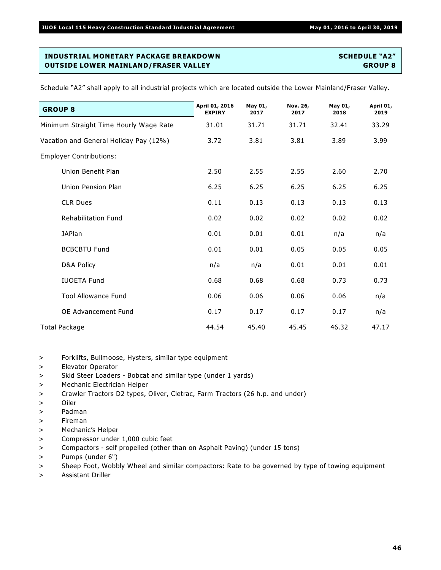**GROUP 8 April 01, 2016 EXPIRY May 01, 2017 Nov. 26, 2017 May 01, 2018 April 01, 2019** Minimum Straight Time Hourly Wage Rate 31.01 31.71 31.71 32.41 33.29 Vacation and General Holiday Pay (12%) 3.72 3.81 3.81 3.89 3.99 Employer Contributions: Union Benefit Plan 2.50 2.55 2.55 2.60 2.70 Union Pension Plan 6.25 6.25 6.25 6.25 6.25 CLR Dues 0.11 0.13 0.13 0.13 0.13 Rehabilitation Fund 0.02 0.02 0.02 0.02 0.02 JAPlan 0.01 0.01 0.01 n/a n/a BCBCBTU Fund  $0.01$   $0.01$   $0.05$   $0.05$   $0.05$ D&A Policy n/a n/a 0.01 0.01 0.01 IUOETA Fund 0.68 0.68 0.68 0.73 0.73 Tool Allowance Fund 0.06 0.06 0.06 0.06 n/a OE Advancement Fund 0.17 0.17 0.17 0.17 n/a Total Package 2012 12:33 12:44 45.40 45.45 46.32 47.17

- > Forklifts, Bullmoose, Hysters, similar type equipment
- > Elevator Operator
- > Skid Steer Loaders Bobcat and similar type (under 1 yards)
- > Mechanic Electrician Helper
- > Crawler Tractors D2 types, Oliver, Cletrac, Farm Tractors (26 h.p. and under)
- > Oiler
- > Padman
- > Fireman
- > Mechanic's Helper
- > Compressor under 1,000 cubic feet
- > Compactors self propelled (other than on Asphalt Paving) (under 15 tons)
- > Pumps (under 6")
- > Sheep Foot, Wobbly Wheel and similar compactors: Rate to be governed by type of towing equipment
- > Assistant Driller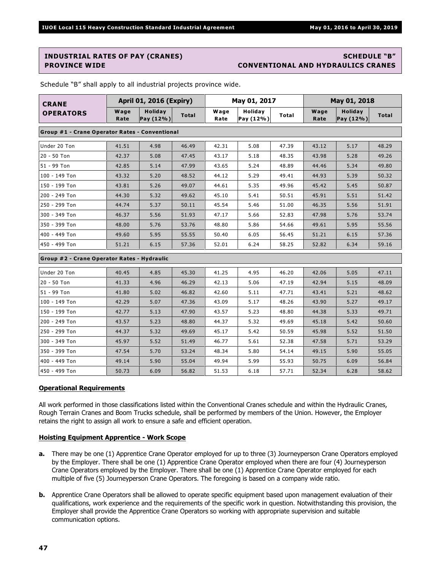# **INDUSTRIAL RATES OF PAY (CRANES) SCHEDULE "B"**

## **PROVINCE WIDE CONVENTIONAL AND HYDRAULICS CRANES**

| <b>CRANE</b>                                | <b>April 01, 2016 (Expiry)</b>                 |                             |              | May 01, 2017 |                             |              |              | May 01, 2018         |              |  |
|---------------------------------------------|------------------------------------------------|-----------------------------|--------------|--------------|-----------------------------|--------------|--------------|----------------------|--------------|--|
| <b>OPERATORS</b>                            | Wage<br>Rate                                   | <b>Holiday</b><br>Pay (12%) | <b>Total</b> | Wage<br>Rate | <b>Holiday</b><br>Pay (12%) | <b>Total</b> | Wage<br>Rate | Holiday<br>Pay (12%) | <b>Total</b> |  |
|                                             | Group #1 - Crane Operator Rates - Conventional |                             |              |              |                             |              |              |                      |              |  |
| Under 20 Ton                                | 41.51                                          | 4.98                        | 46.49        | 42.31        | 5.08                        | 47.39        | 43.12        | 5.17                 | 48.29        |  |
| 20 - 50 Ton                                 | 42.37                                          | 5.08                        | 47.45        | 43.17        | 5.18                        | 48.35        | 43.98        | 5.28                 | 49.26        |  |
| 51 - 99 Ton                                 | 42.85                                          | 5.14                        | 47.99        | 43.65        | 5.24                        | 48.89        | 44.46        | 5.34                 | 49.80        |  |
| 100 - 149 Ton                               | 43.32                                          | 5.20                        | 48.52        | 44.12        | 5.29                        | 49.41        | 44.93        | 5.39                 | 50.32        |  |
| 150 - 199 Ton                               | 43.81                                          | 5.26                        | 49.07        | 44.61        | 5.35                        | 49.96        | 45.42        | 5.45                 | 50.87        |  |
| 200 - 249 Ton                               | 44.30                                          | 5.32                        | 49.62        | 45.10        | 5.41                        | 50.51        | 45.91        | 5.51                 | 51.42        |  |
| 250 - 299 Ton                               | 44.74                                          | 5.37                        | 50.11        | 45.54        | 5.46                        | 51.00        | 46.35        | 5.56                 | 51.91        |  |
| 300 - 349 Ton                               | 46.37                                          | 5.56                        | 51.93        | 47.17        | 5.66                        | 52.83        | 47.98        | 5.76                 | 53.74        |  |
| 350 - 399 Ton                               | 48.00                                          | 5.76                        | 53.76        | 48.80        | 5.86                        | 54.66        | 49.61        | 5.95                 | 55.56        |  |
| 400 - 449 Ton                               | 49.60                                          | 5.95                        | 55.55        | 50.40        | 6.05                        | 56.45        | 51.21        | 6.15                 | 57.36        |  |
| 450 - 499 Ton                               | 51.21                                          | 6.15                        | 57.36        | 52.01        | 6.24                        | 58.25        | 52.82        | 6.34                 | 59.16        |  |
| Group #2 - Crane Operator Rates - Hydraulic |                                                |                             |              |              |                             |              |              |                      |              |  |
| Under 20 Ton                                | 40.45                                          | 4.85                        | 45.30        | 41.25        | 4.95                        | 46.20        | 42.06        | 5.05                 | 47.11        |  |
| 20 - 50 Ton                                 | 41.33                                          | 4.96                        | 46.29        | 42.13        | 5.06                        | 47.19        | 42.94        | 5.15                 | 48.09        |  |
| 51 - 99 Ton                                 | 41.80                                          | 5.02                        | 46.82        | 42.60        | 5.11                        | 47.71        | 43.41        | 5.21                 | 48.62        |  |
| 100 - 149 Ton                               | 42.29                                          | 5.07                        | 47.36        | 43.09        | 5.17                        | 48.26        | 43.90        | 5.27                 | 49.17        |  |
| 150 - 199 Ton                               | 42.77                                          | 5.13                        | 47.90        | 43.57        | 5.23                        | 48.80        | 44.38        | 5.33                 | 49.71        |  |
| 200 - 249 Ton                               | 43.57                                          | 5.23                        | 48.80        | 44.37        | 5.32                        | 49.69        | 45.18        | 5.42                 | 50.60        |  |
| 250 - 299 Ton                               | 44.37                                          | 5.32                        | 49.69        | 45.17        | 5.42                        | 50.59        | 45.98        | 5.52                 | 51.50        |  |
| 300 - 349 Ton                               | 45.97                                          | 5.52                        | 51.49        | 46.77        | 5.61                        | 52.38        | 47.58        | 5.71                 | 53.29        |  |
| 350 - 399 Ton                               | 47.54                                          | 5.70                        | 53.24        | 48.34        | 5.80                        | 54.14        | 49.15        | 5.90                 | 55.05        |  |
| 400 - 449 Ton                               | 49.14                                          | 5.90                        | 55.04        | 49.94        | 5.99                        | 55.93        | 50.75        | 6.09                 | 56.84        |  |
| 450 - 499 Ton                               | 50.73                                          | 6.09                        | 56.82        | 51.53        | 6.18                        | 57.71        | 52.34        | 6.28                 | 58.62        |  |

Schedule "B" shall apply to all industrial projects province wide.

### **Operational Requirements**

All work performed in those classifications listed within the Conventional Cranes schedule and within the Hydraulic Cranes, Rough Terrain Cranes and Boom Trucks schedule, shall be performed by members of the Union. However, the Employer retains the right to assign all work to ensure a safe and efficient operation.

### **Hoisting Equipment Apprentice - Work Scope**

- **a.** There may be one (1) Apprentice Crane Operator employed for up to three (3) Journeyperson Crane Operators employed by the Employer. There shall be one (1) Apprentice Crane Operator employed when there are four (4) Journeyperson Crane Operators employed by the Employer. There shall be one (1) Apprentice Crane Operator employed for each multiple of five (5) Journeyperson Crane Operators. The foregoing is based on a company wide ratio.
- **b.** Apprentice Crane Operators shall be allowed to operate specific equipment based upon management evaluation of their qualifications, work experience and the requirements of the specific work in question. Notwithstanding this provision, the Employer shall provide the Apprentice Crane Operators so working with appropriate supervision and suitable communication options.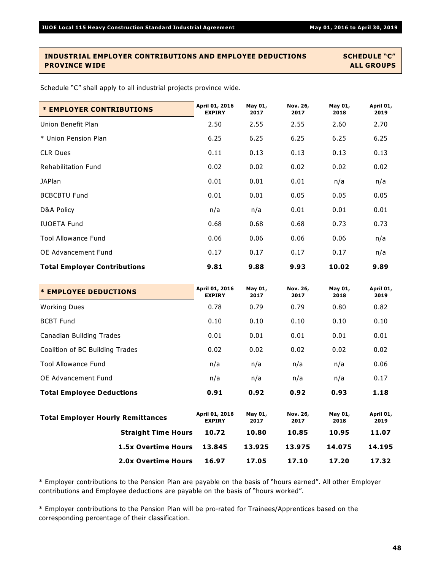### **INDUSTRIAL EMPLOYER CONTRIBUTIONS AND EMPLOYEE DEDUCTIONS SCHEDULE "C" PROVINCE WIDE ALL GROUPS**

Schedule "C" shall apply to all industrial projects province wide.

| <b>* EMPLOYER CONTRIBUTIONS</b>     | April 01, 2016<br><b>EXPIRY</b> | May 01,<br>2017 | Nov. 26,<br>2017 | May 01,<br>2018 | April 01,<br>2019 |
|-------------------------------------|---------------------------------|-----------------|------------------|-----------------|-------------------|
| Union Benefit Plan                  | 2.50                            | 2.55            | 2.55             | 2.60            | 2.70              |
| * Union Pension Plan                | 6.25                            | 6.25            | 6.25             | 6.25            | 6.25              |
| <b>CLR Dues</b>                     | 0.11                            | 0.13            | 0.13             | 0.13            | 0.13              |
| <b>Rehabilitation Fund</b>          | 0.02                            | 0.02            | 0.02             | 0.02            | 0.02              |
| <b>JAPlan</b>                       | 0.01                            | 0.01            | 0.01             | n/a             | n/a               |
| <b>BCBCBTU Fund</b>                 | 0.01                            | 0.01            | 0.05             | 0.05            | 0.05              |
| D&A Policy                          | n/a                             | n/a             | 0.01             | 0.01            | 0.01              |
| <b>IUOETA Fund</b>                  | 0.68                            | 0.68            | 0.68             | 0.73            | 0.73              |
| <b>Tool Allowance Fund</b>          | 0.06                            | 0.06            | 0.06             | 0.06            | n/a               |
| OE Advancement Fund                 | 0.17                            | 0.17            | 0.17             | 0.17            | n/a               |
| <b>Total Employer Contributions</b> | 9.81                            | 9.88            | 9.93             | 10.02           | 9.89              |

| <b>* EMPLOYEE DEDUCTIONS</b>             |                            | April 01, 2016<br><b>EXPIRY</b> | May 01,<br>2017 | Nov. 26,<br>2017 | May 01,<br>2018 | April 01,<br>2019 |
|------------------------------------------|----------------------------|---------------------------------|-----------------|------------------|-----------------|-------------------|
| <b>Working Dues</b>                      |                            | 0.78                            | 0.79            | 0.79             | 0.80            | 0.82              |
| <b>BCBT Fund</b>                         |                            | 0.10                            | 0.10            | 0.10             | 0.10            | 0.10              |
| Canadian Building Trades                 |                            | 0.01                            | 0.01            | 0.01             | 0.01            | 0.01              |
| Coalition of BC Building Trades          |                            | 0.02                            | 0.02            | 0.02             | 0.02            | 0.02              |
| <b>Tool Allowance Fund</b>               |                            | n/a                             | n/a             | n/a              | n/a             | 0.06              |
| OE Advancement Fund                      |                            | n/a                             | n/a             | n/a              | n/a             | 0.17              |
| <b>Total Employee Deductions</b>         |                            | 0.91                            | 0.92            | 0.92             | 0.93            | 1.18              |
| <b>Total Employer Hourly Remittances</b> |                            | April 01, 2016<br><b>EXPIRY</b> | May 01,<br>2017 | Nov. 26,<br>2017 | May 01,<br>2018 | April 01,<br>2019 |
|                                          | <b>Straight Time Hours</b> | 10.72                           | 10.80           | 10.85            | 10.95           | 11.07             |
|                                          | <b>1.5x Overtime Hours</b> | 13.845                          | 13.925          | 13.975           | 14.075          | 14.195            |
|                                          | <b>2.0x Overtime Hours</b> | 16.97                           | 17.05           | 17.10            | 17.20           | 17.32             |

\* Employer contributions to the Pension Plan are payable on the basis of "hours earned". All other Employer contributions and Employee deductions are payable on the basis of "hours worked".

\* Employer contributions to the Pension Plan will be pro-rated for Trainees/Apprentices based on the corresponding percentage of their classification.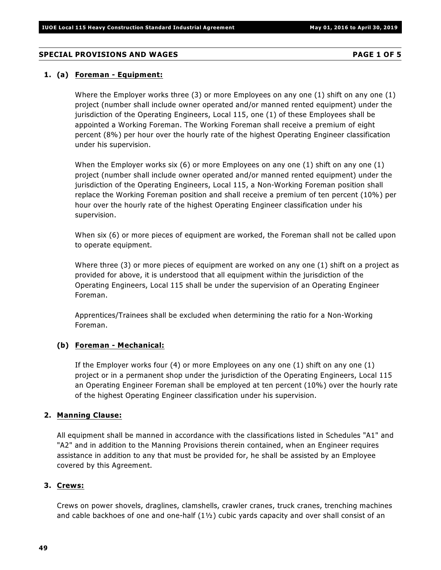### **SPECIAL PROVISIONS AND WAGES PAGE 1 OF 5**

### **1. (a) Foreman - Equipment:**

Where the Employer works three (3) or more Employees on any one (1) shift on any one (1) project (number shall include owner operated and/or manned rented equipment) under the jurisdiction of the Operating Engineers, Local 115, one (1) of these Employees shall be appointed a Working Foreman. The Working Foreman shall receive a premium of eight percent (8%) per hour over the hourly rate of the highest Operating Engineer classification under his supervision.

When the Employer works six (6) or more Employees on any one (1) shift on any one (1) project (number shall include owner operated and/or manned rented equipment) under the jurisdiction of the Operating Engineers, Local 115, a Non-Working Foreman position shall replace the Working Foreman position and shall receive a premium of ten percent (10%) per hour over the hourly rate of the highest Operating Engineer classification under his supervision.

When six (6) or more pieces of equipment are worked, the Foreman shall not be called upon to operate equipment.

Where three (3) or more pieces of equipment are worked on any one (1) shift on a project as provided for above, it is understood that all equipment within the jurisdiction of the Operating Engineers, Local 115 shall be under the supervision of an Operating Engineer Foreman.

Apprentices/Trainees shall be excluded when determining the ratio for a Non-Working Foreman.

### **(b) Foreman - Mechanical:**

If the Employer works four (4) or more Employees on any one (1) shift on any one (1) project or in a permanent shop under the jurisdiction of the Operating Engineers, Local 115 an Operating Engineer Foreman shall be employed at ten percent (10%) over the hourly rate of the highest Operating Engineer classification under his supervision.

### **2. Manning Clause:**

All equipment shall be manned in accordance with the classifications listed in Schedules "A1" and "A2" and in addition to the Manning Provisions therein contained, when an Engineer requires assistance in addition to any that must be provided for, he shall be assisted by an Employee covered by this Agreement.

### **3. Crews:**

Crews on power shovels, draglines, clamshells, crawler cranes, truck cranes, trenching machines and cable backhoes of one and one-half  $(1\frac{1}{2})$  cubic yards capacity and over shall consist of an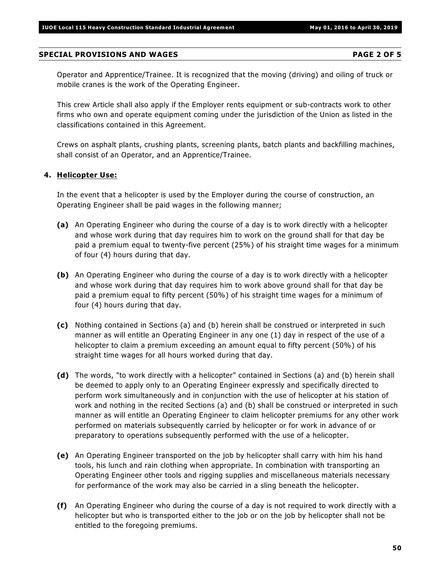### **SPECIAL PROVISIONS AND WAGES PAGE 2 OF 5**

Operator and Apprentice/Trainee. It is recognized that the moving (driving) and oiling of truck or mobile cranes is the work of the Operating Engineer.

This crew Article shall also apply if the Employer rents equipment or sub-contracts work to other firms who own and operate equipment coming under the jurisdiction of the Union as listed in the classifications contained in this Agreement.

Crews on asphalt plants, crushing plants, screening plants, batch plants and backfilling machines, shall consist of an Operator, and an Apprentice/Trainee.

### **4. Helicopter Use:**

In the event that a helicopter is used by the Employer during the course of construction, an Operating Engineer shall be paid wages in the following manner;

- **(a)** An Operating Engineer who during the course of a day is to work directly with a helicopter and whose work during that day requires him to work on the ground shall for that day be paid a premium equal to twenty-five percent (25%) of his straight time wages for a minimum of four (4) hours during that day.
- **(b)** An Operating Engineer who during the course of a day is to work directly with a helicopter and whose work during that day requires him to work above ground shall for that day be paid a premium equal to fifty percent (50%) of his straight time wages for a minimum of four (4) hours during that day.
- **(c)** Nothing contained in Sections (a) and (b) herein shall be construed or interpreted in such manner as will entitle an Operating Engineer in any one (1) day in respect of the use of a helicopter to claim a premium exceeding an amount equal to fifty percent (50%) of his straight time wages for all hours worked during that day.
- **(d)** The words, "to work directly with a helicopter" contained in Sections (a) and (b) herein shall be deemed to apply only to an Operating Engineer expressly and specifically directed to perform work simultaneously and in conjunction with the use of helicopter at his station of work and nothing in the recited Sections (a) and (b) shall be construed or interpreted in such manner as will entitle an Operating Engineer to claim helicopter premiums for any other work performed on materials subsequently carried by helicopter or for work in advance of or preparatory to operations subsequently performed with the use of a helicopter.
- **(e)** An Operating Engineer transported on the job by helicopter shall carry with him his hand tools, his lunch and rain clothing when appropriate. In combination with transporting an Operating Engineer other tools and rigging supplies and miscellaneous materials necessary for performance of the work may also be carried in a sling beneath the helicopter.
- **(f)** An Operating Engineer who during the course of a day is not required to work directly with a helicopter but who is transported either to the job or on the job by helicopter shall not be entitled to the foregoing premiums.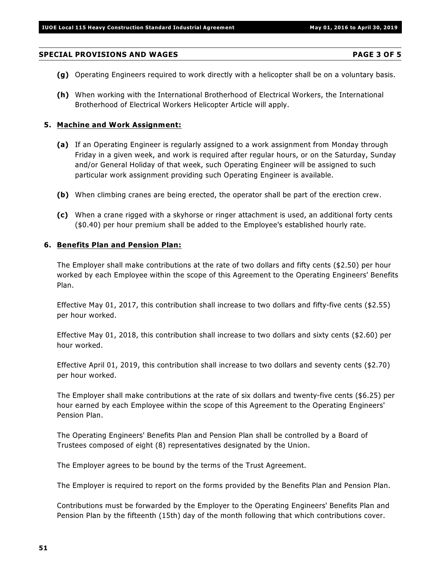### **SPECIAL PROVISIONS AND WAGES PAGE 3 OF 5**

- **(g)** Operating Engineers required to work directly with a helicopter shall be on a voluntary basis.
- **(h)** When working with the International Brotherhood of Electrical Workers, the International Brotherhood of Electrical Workers Helicopter Article will apply.

### **5. Machine and Work Assignment:**

- **(a)** If an Operating Engineer is regularly assigned to a work assignment from Monday through Friday in a given week, and work is required after regular hours, or on the Saturday, Sunday and/or General Holiday of that week, such Operating Engineer will be assigned to such particular work assignment providing such Operating Engineer is available.
- **(b)** When climbing cranes are being erected, the operator shall be part of the erection crew.
- **(c)** When a crane rigged with a skyhorse or ringer attachment is used, an additional forty cents (\$0.40) per hour premium shall be added to the Employee's established hourly rate.

### **6. Benefits Plan and Pension Plan:**

The Employer shall make contributions at the rate of two dollars and fifty cents (\$2.50) per hour worked by each Employee within the scope of this Agreement to the Operating Engineers' Benefits Plan.

Effective May 01, 2017, this contribution shall increase to two dollars and fifty-five cents (\$2.55) per hour worked.

Effective May 01, 2018, this contribution shall increase to two dollars and sixty cents (\$2.60) per hour worked.

Effective April 01, 2019, this contribution shall increase to two dollars and seventy cents (\$2.70) per hour worked.

The Employer shall make contributions at the rate of six dollars and twenty-five cents (\$6.25) per hour earned by each Employee within the scope of this Agreement to the Operating Engineers' Pension Plan.

The Operating Engineers' Benefits Plan and Pension Plan shall be controlled by a Board of Trustees composed of eight (8) representatives designated by the Union.

The Employer agrees to be bound by the terms of the Trust Agreement.

The Employer is required to report on the forms provided by the Benefits Plan and Pension Plan.

Contributions must be forwarded by the Employer to the Operating Engineers' Benefits Plan and Pension Plan by the fifteenth (15th) day of the month following that which contributions cover.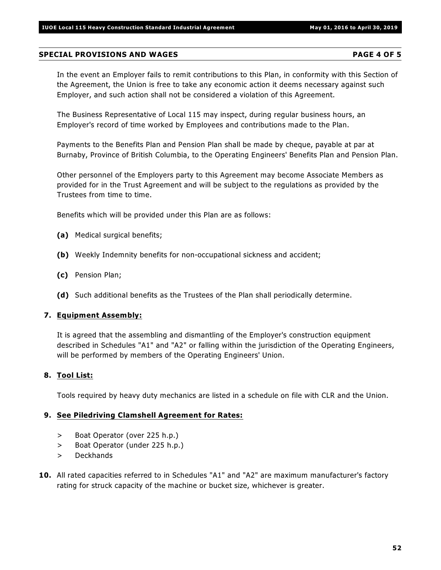### **SPECIAL PROVISIONS AND WAGES PAGE 4 OF 5**

In the event an Employer fails to remit contributions to this Plan, in conformity with this Section of the Agreement, the Union is free to take any economic action it deems necessary against such Employer, and such action shall not be considered a violation of this Agreement.

The Business Representative of Local 115 may inspect, during regular business hours, an Employer's record of time worked by Employees and contributions made to the Plan.

Payments to the Benefits Plan and Pension Plan shall be made by cheque, payable at par at Burnaby, Province of British Columbia, to the Operating Engineers' Benefits Plan and Pension Plan.

Other personnel of the Employers party to this Agreement may become Associate Members as provided for in the Trust Agreement and will be subject to the regulations as provided by the Trustees from time to time.

Benefits which will be provided under this Plan are as follows:

- **(a)** Medical surgical benefits;
- **(b)** Weekly Indemnity benefits for non-occupational sickness and accident;
- **(c)** Pension Plan;
- **(d)** Such additional benefits as the Trustees of the Plan shall periodically determine.

### **7. Equipment Assembly:**

It is agreed that the assembling and dismantling of the Employer's construction equipment described in Schedules "A1" and "A2" or falling within the jurisdiction of the Operating Engineers, will be performed by members of the Operating Engineers' Union.

### **8. Tool List:**

Tools required by heavy duty mechanics are listed in a schedule on file with CLR and the Union.

### **9. See Piledriving Clamshell Agreement for Rates:**

- > Boat Operator (over 225 h.p.)
- > Boat Operator (under 225 h.p.)
- > Deckhands
- **10.** All rated capacities referred to in Schedules "A1" and "A2" are maximum manufacturer's factory rating for struck capacity of the machine or bucket size, whichever is greater.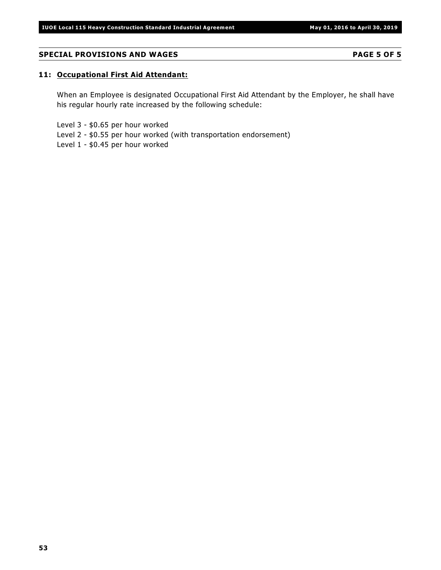### **SPECIAL PROVISIONS AND WAGES PAGE 5 OF 5**

### **11: Occupational First Aid Attendant:**

When an Employee is designated Occupational First Aid Attendant by the Employer, he shall have his regular hourly rate increased by the following schedule:

Level 3 - \$0.65 per hour worked

Level 2 - \$0.55 per hour worked (with transportation endorsement)

Level 1 - \$0.45 per hour worked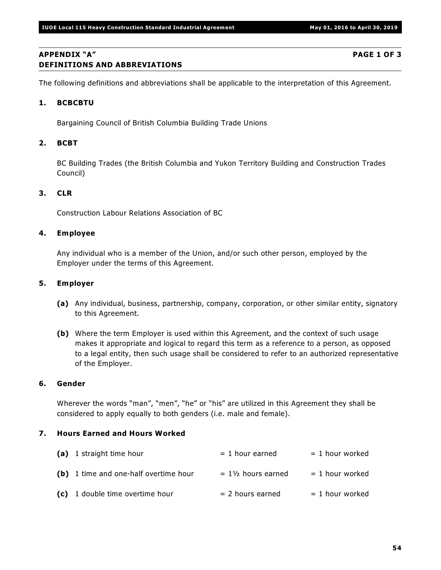### **APPENDIX "A" PAGE 1 OF 3 DEFINITIONS AND ABBREVIATIONS**

The following definitions and abbreviations shall be applicable to the interpretation of this Agreement.

### **1. BCBCBTU**

Bargaining Council of British Columbia Building Trade Unions

### **2. BCBT**

BC Building Trades (the British Columbia and Yukon Territory Building and Construction Trades Council)

### **3. CLR**

Construction Labour Relations Association of BC

### **4. Employee**

Any individual who is a member of the Union, and/or such other person, employed by the Employer under the terms of this Agreement.

### **5. Employer**

- **(a)** Any individual, business, partnership, company, corporation, or other similar entity, signatory to this Agreement.
- **(b)** Where the term Employer is used within this Agreement, and the context of such usage makes it appropriate and logical to regard this term as a reference to a person, as opposed to a legal entity, then such usage shall be considered to refer to an authorized representative of the Employer.

### **6. Gender**

Wherever the words "man", "men", "he" or "his" are utilized in this Agreement they shall be considered to apply equally to both genders (i.e. male and female).

### **7. Hours Earned and Hours Worked**

| (a) 1 straight time hour              | $= 1$ hour earned             | $= 1$ hour worked |
|---------------------------------------|-------------------------------|-------------------|
| (b) 1 time and one-half overtime hour | $= 1\frac{1}{2}$ hours earned | $= 1$ hour worked |
| (c) 1 double time overtime hour       | $= 2$ hours earned            | $= 1$ hour worked |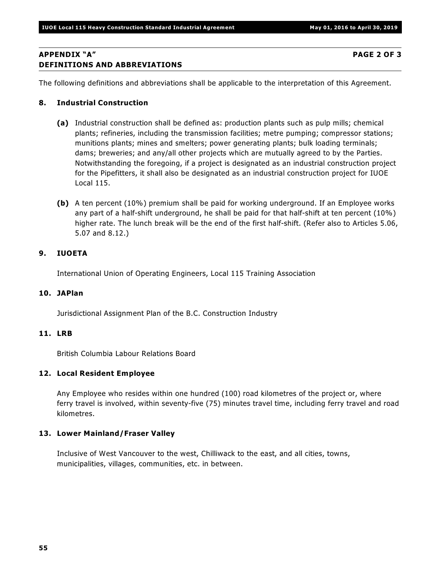### **APPENDIX "A" PAGE 2 OF 3 DEFINITIONS AND ABBREVIATIONS**

The following definitions and abbreviations shall be applicable to the interpretation of this Agreement.

### **8. Industrial Construction**

- **(a)** Industrial construction shall be defined as: production plants such as pulp mills; chemical plants; refineries, including the transmission facilities; metre pumping; compressor stations; munitions plants; mines and smelters; power generating plants; bulk loading terminals; dams; breweries; and any/all other projects which are mutually agreed to by the Parties. Notwithstanding the foregoing, if a project is designated as an industrial construction project for the Pipefitters, it shall also be designated as an industrial construction project for IUOE Local 115.
- **(b)** A ten percent (10%) premium shall be paid for working underground. If an Employee works any part of a half-shift underground, he shall be paid for that half-shift at ten percent (10%) higher rate. The lunch break will be the end of the first half-shift. (Refer also to Articles 5.06, 5.07 and 8.12.)

### **9. IUOETA**

International Union of Operating Engineers, Local 115 Training Association

### **10. JAPlan**

Jurisdictional Assignment Plan of the B.C. Construction Industry

### **11. LRB**

British Columbia Labour Relations Board

### **12. Local Resident Employee**

Any Employee who resides within one hundred (100) road kilometres of the project or, where ferry travel is involved, within seventy-five (75) minutes travel time, including ferry travel and road kilometres.

### **13. Lower Mainland/Fraser Valley**

Inclusive of West Vancouver to the west, Chilliwack to the east, and all cities, towns, municipalities, villages, communities, etc. in between.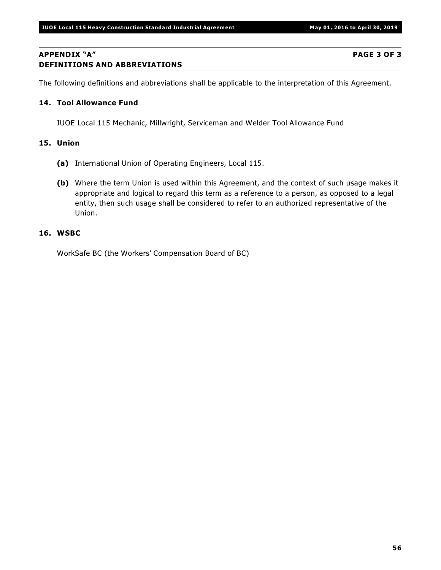### **APPENDIX "A" PAGE 3 OF 3 DEFINITIONS AND ABBREVIATIONS**

The following definitions and abbreviations shall be applicable to the interpretation of this Agreement.

### **14. Tool Allowance Fund**

IUOE Local 115 Mechanic, Millwright, Serviceman and Welder Tool Allowance Fund

### **15. Union**

- **(a)** International Union of Operating Engineers, Local 115.
- **(b)** Where the term Union is used within this Agreement, and the context of such usage makes it appropriate and logical to regard this term as a reference to a person, as opposed to a legal entity, then such usage shall be considered to refer to an authorized representative of the Union.

### **16. WSBC**

WorkSafe BC (the Workers' Compensation Board of BC)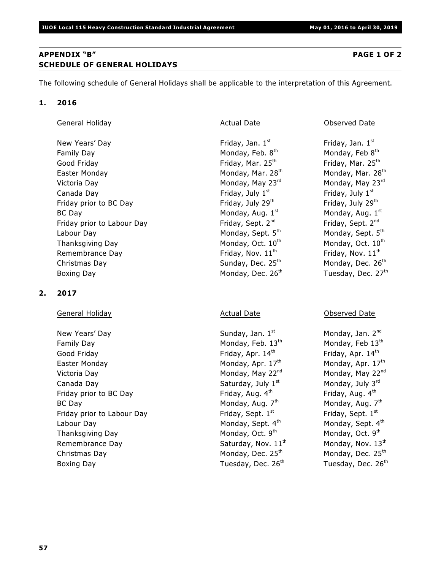### **APPENDIX "B" PAGE 1 OF 2 SCHEDULE OF GENERAL HOLIDAYS**

The following schedule of General Holidays shall be applicable to the interpretation of this Agreement.

### **1. 2016**

| General Holiday |  |
|-----------------|--|
|                 |  |

New Years' Day Friday, Jan. 1st Family Day Monday, Feb. 8th Good Friday **Friday**, Mar. 25<sup>th</sup> Easter Monday Monday, Mar. 28<sup>th</sup> Victoria Day Monday, May 23<sup>rd</sup> Canada Day **Friday**, July  $1<sup>st</sup>$ Friday prior to BC Day Friday, July 29<sup>th</sup> BC Day Monday, Aug. 1st Friday prior to Labour Day Friday, Sept. 2<sup>nd</sup> Labour Day Monday, Sept. 5<sup>th</sup> Thanksgiving Day Monday, Oct. 10th Remembrance Day  $\qquad \qquad$  Friday, Nov.  $11<sup>th</sup>$ Christmas Day  $S$ unday, Dec. 25<sup>th</sup> Boxing Day Monday, Dec. 26<sup>th</sup>

### **2. 2017**

### General Holiday **Actual Date Conserved Date** Observed Date **Conserved Date** Observed Date

New Years' Day  $Sunday, Jan. 1<sup>st</sup>$ Family Day Monday, Feb. 13<sup>th</sup> Good Friday **Friday**, Apr. 14<sup>th</sup> Easter Monday **Monday, Apr. 17th** Victoria Day Monday, May 22<sup>nd</sup> Canada Day  $Saturday$ , July  $1<sup>st</sup>$ Friday prior to BC Day  $\qquad \qquad$  Friday, Aug.  $4^{\text{th}}$ BC Day Monday, Aug. 7th Friday prior to Labour Day Friday, Sept. 1st Labour Day **Monday, Sept. 4th** Thanksgiving Day Monday, Oct. 9th Remembrance Day  $Saturday$ , Nov.  $11<sup>th</sup>$ Christmas Day Monday, Dec. 25<sup>th</sup> Boxing Day **Tuesday, Dec. 26<sup>th</sup>** 

### Actual Date **Confluence Contracts** Observed Date

Friday, Jan.  $1<sup>st</sup>$ Monday, Feb  $8<sup>th</sup>$ Friday, Mar. 25<sup>th</sup> Monday, Mar. 28<sup>th</sup> Monday, May  $23<sup>rd</sup>$ Friday, July  $1<sup>st</sup>$ Friday, July 29<sup>th</sup> Monday, Aug. 1st Friday, Sept. 2<sup>nd</sup> Monday, Sept. 5th Monday, Oct. 10<sup>th</sup> Friday, Nov.  $11^{\text{th}}$ Monday, Dec. 26<sup>th</sup> Tuesday, Dec. 27th

Monday, Jan. 2<sup>nd</sup> Monday, Feb 13th Friday, Apr. 14th Monday, Apr. 17th Monday, May 22nd Monday, July 3rd Friday, Aug.  $4^{\text{th}}$ Monday, Aug. 7<sup>th</sup> Friday, Sept.  $1<sup>st</sup>$ Monday, Sept. 4th Monday, Oct. 9<sup>th</sup> Monday, Nov. 13<sup>th</sup> Monday, Dec.  $25<sup>th</sup>$ Tuesday, Dec. 26<sup>th</sup>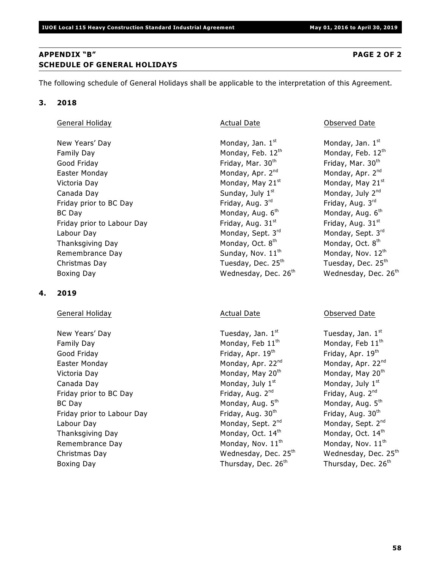**58**

### **APPENDIX "B" PAGE 2 OF 2 SCHEDULE OF GENERAL HOLIDAYS**

The following schedule of General Holidays shall be applicable to the interpretation of this Agreement.

### **3. 2018**

### General Holiday **Actual Date Construction Construction** Actual Date Construction Observed Date

New Years' Day Monday, Jan. 1st Family Day Monday, Feb. 12<sup>th</sup> Good Friday **Friday**, Mar. 30<sup>th</sup> Easter Monday **Monday, Apr. 2<sup>nd</sup>** Monday, Apr. 2<sup>nd</sup> Victoria Day Monday, May 21 Monday, May 21 st st Canada Day  $Sunday, July 1<sup>st</sup>$ Friday prior to BC Day Friday, Aug. 3<sup>rd</sup> BC Day Monday, Aug. 6th Friday prior to Labour Day Friday, Aug. 31<sup>st</sup> Labour Day Monday, Sept. 3<sup>rd</sup> Thanksgiving Day Monday, Oct. 8<sup>th</sup> Remembrance Day  $S$ unday, Nov.  $11<sup>th</sup>$ Christmas Day **Tuesday, Dec. 25<sup>th</sup>** Boxing Day Mednesday, Dec. 26<sup>th</sup>

### **4. 2019**

### General Holiday **Actual Date Conserved Date** Observed Date **Conserved Date** Observed Date

New Years' Day **Tuesday, Jan. 1st** Family Day Monday, Feb 11<sup>th</sup> Good Friday **Friday**, Apr. 19<sup>th</sup> Easter Monday Monday, Apr. 22<sup>nd</sup> Victoria Day Monday, May 20<sup>th</sup> Canada Day **Monday**, July 1<sup>st</sup> Monday, July 1<sup>st</sup> Friday prior to BC Day Friday, Aug.  $2^{nd}$ BC Day Monday, Aug. 5<sup>th</sup> Friday prior to Labour Day Friday, Aug. 30<sup>th</sup> Labour Day Monday, Sept. 2<sup>nd</sup> Thanksgiving Day  $M$  Monday, Oct. 14<sup>th</sup> Remembrance Day  $M^{th}$  Monday, Nov.  $11^{th}$ Christmas Day **Wednesday, Dec. 25<sup>th</sup>** Boxing Day **Thursday, Dec. 26<sup>th</sup>** 

Monday, Jan. 1st Monday, Feb. 12th Friday, Mar. 30<sup>th</sup> Monday, Apr. 2<sup>nd</sup> Monday, July 2<sup>nd</sup> Friday, Aug. 3rd Monday, Aug. 6<sup>th</sup> Friday, Aug.  $31<sup>st</sup>$ Monday, Sept. 3rd Monday, Oct. 8<sup>th</sup> Monday, Nov. 12th Tuesday, Dec. 25<sup>th</sup> Wednesday, Dec. 26<sup>th</sup>

Tuesday, Jan. 1st Monday, Feb  $11<sup>th</sup>$ Friday, Apr. 19th Monday, Apr. 22<sup>nd</sup> Monday, May 20<sup>th</sup> Monday, July  $1<sup>st</sup>$ Friday, Aug. 2<sup>nd</sup> Monday, Aug. 5th Friday, Aug. 30th Monday, Sept. 2nd Monday, Oct. 14th Monday, Nov. 11<sup>th</sup> Wednesday, Dec. 25<sup>th</sup> Thursday, Dec. 26<sup>th</sup>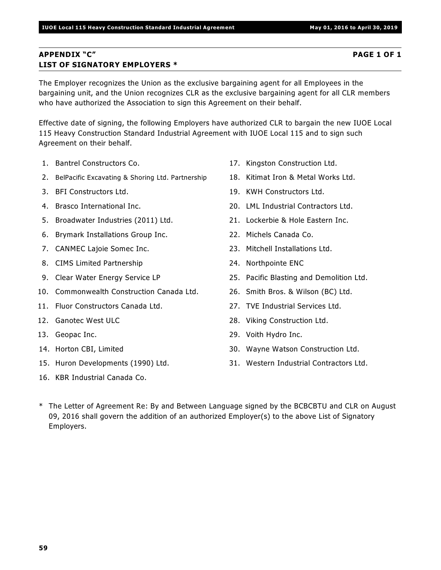### **APPENDIX "C" PAGE 1 OF 1 LIST OF SIGNATORY EMPLOYERS \***

The Employer recognizes the Union as the exclusive bargaining agent for all Employees in the bargaining unit, and the Union recognizes CLR as the exclusive bargaining agent for all CLR members who have authorized the Association to sign this Agreement on their behalf.

Effective date of signing, the following Employers have authorized CLR to bargain the new IUOE Local 115 Heavy Construction Standard Industrial Agreement with IUOE Local 115 and to sign such Agreement on their behalf.

- 1. Bantrel Constructors Co.
- 2. BelPacific Excavating & Shoring Ltd. Partnership
- 3. BFI Constructors Ltd.
- 4. Brasco International Inc.
- 5. Broadwater Industries (2011) Ltd.
- 6. Brymark Installations Group Inc.
- 7. CANMEC Lajoie Somec Inc.
- 8. CIMS Limited Partnership
- 9. Clear Water Energy Service LP
- 10. Commonwealth Construction Canada Ltd.
- 11. Fluor Constructors Canada Ltd.
- 12. Ganotec West ULC
- 13. Geopac Inc.
- 14. Horton CBI, Limited
- 15. Huron Developments (1990) Ltd.
- 16. KBR Industrial Canada Co.
- 17. Kingston Construction Ltd.
- 18. Kitimat Iron & Metal Works Ltd.
- 19. KWH Constructors Ltd.
- 20. LML Industrial Contractors Ltd.
- 21. Lockerbie & Hole Eastern Inc.
- 22. Michels Canada Co.
- 23. Mitchell Installations Ltd.
- 24. Northpointe ENC
- 25. Pacific Blasting and Demolition Ltd.
- 26. Smith Bros. & Wilson (BC) Ltd.
- 27. TVE Industrial Services Ltd.
- 28. Viking Construction Ltd.
- 29. Voith Hydro Inc.
- 30. Wayne Watson Construction Ltd.
- 31. Western Industrial Contractors Ltd.
- \* The Letter of Agreement Re: By and Between Language signed by the BCBCBTU and CLR on August 09, 2016 shall govern the addition of an authorized Employer(s) to the above List of Signatory Employers.